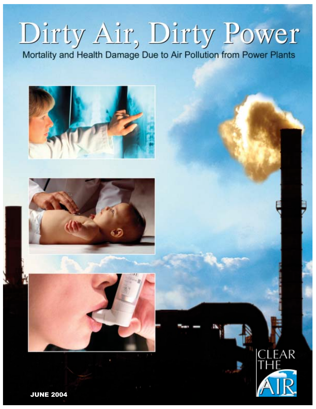# Dirty Air, Dirty Power

Mortality and Health Damage Due to Air Pollution from Power Plants







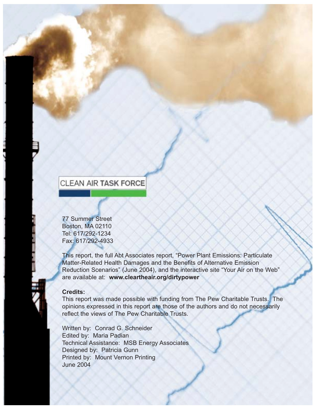### **CLEAN AIR TASK FORCE**

77 Summer Street Boston, MA 02110 Tel: 617/292-1234 Fax: 617/292-4933

This report, the full Abt Associates report, "Power Plant Emissions: Particulate Matter-Related Health Damages and the Benefits of Alternative Emission Reduction Scenarios" (June 2004), and the interactive site "Your Air on the Web" are available at: **www.cleartheair.org/dirtypower**

#### **Credits:**

This report was made possible with funding from The Pew Charitable Trusts. The opinions expressed in this report are those of the authors and do not necessarily reflect the views of The Pew Charitable Trusts.

Written by: Conrad G. Schneider Edited by: Maria Padian Technical Assistance: MSB Energy Associates Designed by: Patricia Gunn Printed by: Mount Vernon Printing June 2004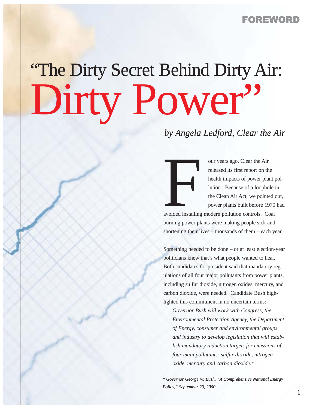#### FOREWORD

# "The Dirty Secret Behind Dirty Air: Dirty Power'

*by Angela Ledford, Clear the Air*

our years ago, Clear the Air<br>released its first report on the health impacts of power pla<br>lution. Because of a loophc<br>the Clean Air Act, we point<br>power plants built before 19<br>avoided installing modern pollution controls. released its first report on the health impacts of power plant pollution. Because of a loophole in the Clean Air Act, we pointed out, power plants built before 1970 had

avoided installing modern pollution controls. Coal burning power plants were making people sick and shortening their lives – thousands of them – each year.

Something needed to be done – or at least election-year politicians knew that's what people wanted to hear. Both candidates for president said that mandatory regulations of all four major pollutants from power plants, including sulfur dioxide, nitrogen oxides, mercury, and carbon dioxide, were needed. Candidate Bush highlighted this commitment in no uncertain terms:

*Governor Bush will work with Congress, the Environmental Protection Agency, the Department of Energy, consumer and environmental groups and industry to develop legislation that will establish mandatory reduction targets for emissions of four main pollutants: sulfur dioxide, nitrogen oxide, mercury and carbon dioxide.\**

*\* Governor George W. Bush, "A Comprehensive National Energy Policy," September 29, 2000. Bush, 29,*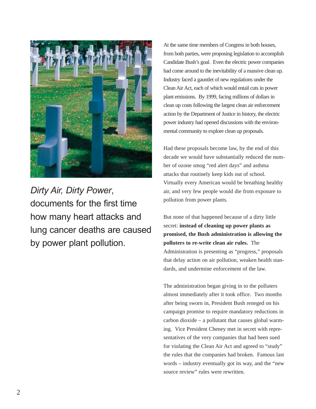

*Dirty Air, Dirty Power*, documents for the first time how many heart attacks and lung cancer deaths are caused by power plant pollution.

At the same time members of Congress in both houses, from both parties, were proposing legislation to accomplish Candidate Bush's goal. Even the electric power companies had come around to the inevitability of a massive clean up. Industry faced a gauntlet of new regulations under the Clean Air Act, each of which would entail cuts in power plant emissions. By 1999, facing millions of dollars in clean up costs following the largest clean air enforcement action by the Department of Justice in history, the electric power industry had opened discussions with the environmental community to explore clean up proposals.

Had these proposals become law, by the end of this decade we would have substantially reduced the number of ozone smog "red alert days" and asthma attacks that routinely keep kids out of school. Virtually every American would be breathing healthy air, and very few people would die from exposure to pollution from power plants.

But none of that happened because of a dirty little secret: **instead of cleaning up power plants as promised, the Bush administration is allowing the polluters to re-write clean air rules.** The Administration is presenting as "progress," proposals that delay action on air pollution, weaken health standards, and undermine enforcement of the law.

The administration began giving in to the polluters almost immediately after it took office. Two months after being sworn in, President Bush reneged on his campaign promise to require mandatory reductions in carbon dioxide – a pollutant that causes global warming. Vice President Cheney met in secret with representatives of the very companies that had been sued for violating the Clean Air Act and agreed to "study" the rules that the companies had broken. Famous last words – industry eventually got its way, and the "new source review" rules were rewritten.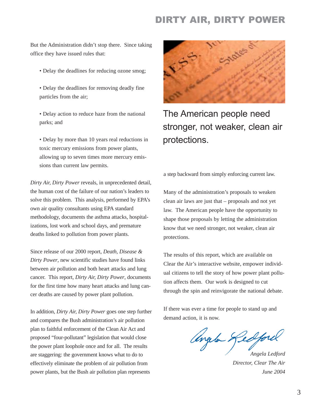But the Administration didn't stop there. Since taking office they have issued rules that:

- Delay the deadlines for reducing ozone smog;
- Delay the deadlines for removing deadly fine particles from the air;
- Delay action to reduce haze from the national parks; and

• Delay by more than 10 years real reductions in toxic mercury emissions from power plants, allowing up to seven times more mercury emissions than current law permits.

*Dirty Air, Dirty Power* reveals, in unprecedented detail, the human cost of the failure of our nation's leaders to solve this problem. This analysis, performed by EPA's own air quality consultants using EPA standard methodology, documents the asthma attacks, hospitalizations, lost work and school days, and premature deaths linked to pollution from power plants.

Since release of our 2000 report, *Death, Disease & Dirty Power*, new scientific studies have found links between air pollution and both heart attacks and lung cancer. This report, *Dirty Air, Dirty Power*, documents for the first time how many heart attacks and lung cancer deaths are caused by power plant pollution.

In addition, *Dirty Air, Dirty Power* goes one step further and compares the Bush administration's air pollution plan to faithful enforcement of the Clean Air Act and proposed "four-pollutant" legislation that would close the power plant loophole once and for all. The results are staggering: the government knows what to do to effectively eliminate the problem of air pollution from power plants, but the Bush air pollution plan represents



## The American people need stronger, not weaker, clean air protections.

a step backward from simply enforcing current law.

Many of the administration's proposals to weaken clean air laws are just that – proposals and not yet law. The American people have the opportunity to shape those proposals by letting the administration know that we need stronger, not weaker, clean air protections.

The results of this report, which are available on Clear the Air's interactive website, empower individual citizens to tell the story of how power plant pollution affects them. Our work is designed to cut through the spin and reinvigorate the national debate.

If there was ever a time for people to stand up and demand action, it is now.

Gedford engelo

*Angela Ledford Director, Clear The Air June 2004*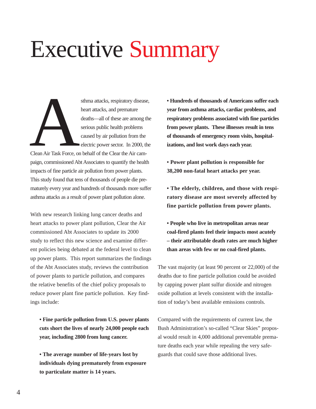## Executive Summary

sthma attacks, respiratory disease,<br>heart attacks, and premature<br>deaths—all of these are among the<br>serious public health problems<br>caused by air pollution from the<br>electric power sector. In 2000, the<br>Clean Air Task Force, o heart attacks, and premature deaths—all of these are among the serious public health problems caused by air pollution from the electric power sector. In 2000, the

Clean Air Task Force, on behalf of the Clear the Air campaign, commissioned Abt Associates to quantify the health impacts of fine particle air pollution from power plants. This study found that tens of thousands of people die prematurely every year and hundreds of thousands more suffer asthma attacks as a result of power plant pollution alone.

With new research linking lung cancer deaths and heart attacks to power plant pollution, Clear the Air commissioned Abt Associates to update its 2000 study to reflect this new science and examine different policies being debated at the federal level to clean up power plants. This report summarizes the findings of the Abt Associates study, reviews the contribution of power plants to particle pollution, and compares the relative benefits of the chief policy proposals to reduce power plant fine particle pollution. Key findings include:

**• Fine particle pollution from U.S. power plants cuts short the lives of nearly 24,000 people each year, including 2800 from lung cancer.**

**• The average number of life-years lost by individuals dying prematurely from exposure to particulate matter is 14 years.** 

**• Hundreds of thousands of Americans suffer each year from asthma attacks, cardiac problems, and respiratory problems associated with fine particles from power plants. These illnesses result in tens of thousands of emergency room visits, hospitalizations, and lost work days each year.**

**• Power plant pollution is responsible for 38,200 non-fatal heart attacks per year.**

**• The elderly, children, and those with respiratory disease are most severely affected by fine particle pollution from power plants.**

**• People who live in metropolitan areas near coal-fired plants feel their impacts most acutely – their attributable death rates are much higher than areas with few or no coal-fired plants.**

The vast majority (at least 90 percent or 22,000) of the deaths due to fine particle pollution could be avoided by capping power plant sulfur dioxide and nitrogen oxide pollution at levels consistent with the installation of today's best available emissions controls.

Compared with the requirements of current law, the Bush Administration's so-called "Clear Skies" proposal would result in 4,000 additional preventable premature deaths each year while repealing the very safeguards that could save those additional lives.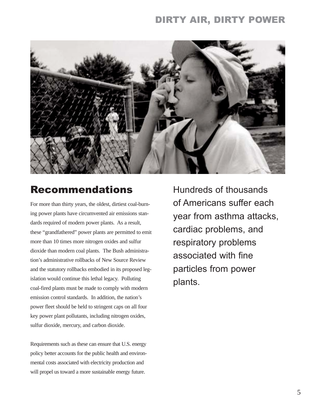

## Recommendations

For more than thirty years, the oldest, dirtiest coal-burning power plants have circumvented air emissions standards required of modern power plants. As a result, these "grandfathered" power plants are permitted to emit more than 10 times more nitrogen oxides and sulfur dioxide than modern coal plants. The Bush administration's administrative rollbacks of New Source Review and the statutory rollbacks embodied in its proposed legislation would continue this lethal legacy. Polluting coal-fired plants must be made to comply with modern emission control standards. In addition, the nation's power fleet should be held to stringent caps on all four key power plant pollutants, including nitrogen oxides, sulfur dioxide, mercury, and carbon dioxide.

Requirements such as these can ensure that U.S. energy policy better accounts for the public health and environmental costs associated with electricity production and will propel us toward a more sustainable energy future.

Hundreds of thousands of Americans suffer each year from asthma attacks, cardiac problems, and respiratory problems associated with fine particles from power plants.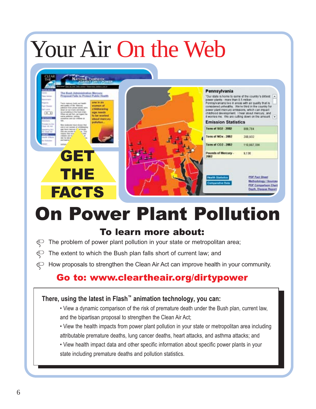## Your Air On the Web



## On Power Plant Pollution

## To learn more about:

- $\mathbb C$  The problem of power plant pollution in your state or metropolitan area;
- The extent to which the Bush plan falls short of current law; and  $\oplus$
- $\mathbb C$  How proposals to strengthen the Clean Air Act can improve health in your community.

## Go to: www.cleartheair.org/dirtypower

#### **There, using the latest in Flash™ animation technology, you can:**

- View a dynamic comparison of the risk of premature death under the Bush plan, current law, and the bipartisan proposal to strengthen the Clean Air Act;
- View the health impacts from power plant pollution in your state or metropolitan area including attributable premature deaths, lung cancer deaths, heart attacks, and asthma attacks; and
- View health impact data and other specific information about specific power plants in your state including premature deaths and pollution statistics.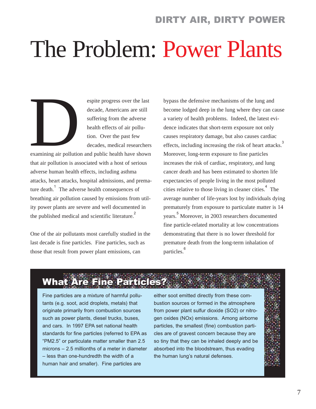## The Problem: Power Plants

espite progress over the last<br>decade, Americans are still<br>suffering from the adverse<br>health effects of air pollu-<br>tion. Over the past few<br>decades, medical researcher<br>examining air pollution and public health have shown decade, Americans are still suffering from the adverse health effects of air pollution. Over the past few decades, medical researchers

examining air pollution and public health have shown that air pollution is associated with a host of serious adverse human health effects, including asthma attacks, heart attacks, hospital admissions, and premature death.<sup>1</sup> The adverse health consequences of breathing air pollution caused by emissions from utility power plants are severe and well documented in the published medical and scientific literature.<sup>2</sup>

One of the air pollutants most carefully studied in the last decade is fine particles. Fine particles, such as those that result from power plant emissions, can

bypass the defensive mechanisms of the lung and become lodged deep in the lung where they can cause a variety of health problems. Indeed, the latest evidence indicates that short-term exposure not only causes respiratory damage, but also causes cardiac effects, including increasing the risk of heart attacks.<sup>3</sup> Moreover, long-term exposure to fine particles increases the risk of cardiac, respiratory, and lung cancer death and has been estimated to shorten life expectancies of people living in the most polluted cities relative to those living in cleaner cities.<sup>4</sup> The average number of life-years lost by individuals dying prematurely from exposure to particulate matter is 14 years. 5 Moreover, in 2003 researchers documented fine particle-related mortality at low concentrations demonstrating that there is no lower threshold for premature death from the long-term inhalation of particles.<sup>6</sup>

## What Are Fine Particles

Fine particles are a mixture of harmful pollutants (e.g. soot, acid droplets, metals) that originate primarily from combustion sources such as power plants, diesel trucks, buses, and cars. In 1997 EPA set national health standards for fine particles (referred to EPA as "PM2.5" or particulate matter smaller than 2.5 microns – 2.5 millionths of a meter in diameter – less than one-hundredth the width of a human hair and smaller). Fine particles are

either soot emitted directly from these combustion sources or formed in the atmosphere from power plant sulfur dioxide (SO2) or nitrogen oxides (NOx) emissions. Among airborne particles, the smallest (fine) combustion particles are of gravest concern because they are so tiny that they can be inhaled deeply and be absorbed into the bloodstream, thus evading the human lung's natural defenses.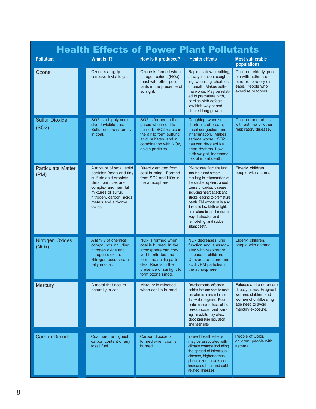|                                   | <b>Health Effects of Power Plant Pollutants</b>                                                                                                                                                                     |                                                                                                                                                                                                          |                                                                                                                                                                                                                                                                                                                                                                          |                                                                                                                                                  |
|-----------------------------------|---------------------------------------------------------------------------------------------------------------------------------------------------------------------------------------------------------------------|----------------------------------------------------------------------------------------------------------------------------------------------------------------------------------------------------------|--------------------------------------------------------------------------------------------------------------------------------------------------------------------------------------------------------------------------------------------------------------------------------------------------------------------------------------------------------------------------|--------------------------------------------------------------------------------------------------------------------------------------------------|
| <b>Pollutant</b>                  | What is it?                                                                                                                                                                                                         | How is it produced?                                                                                                                                                                                      | <b>Health effects</b>                                                                                                                                                                                                                                                                                                                                                    | <b>Most vulnerable</b><br>populations                                                                                                            |
| Ozone                             | Ozone is a highly<br>corrosive, invisible gas.                                                                                                                                                                      | Ozone is formed when<br>nitrogen oxides (NOx)<br>react with other pollu-<br>tants in the presence of<br>sunlight.                                                                                        | Rapid shallow breathing,<br>airway irritation, cough-<br>ing, wheezing, shortness<br>of breath. Makes asth-<br>ma worse. May be relat-<br>ed to premature birth,<br>cardiac birth defects,<br>low birth weight and<br>stunted lung growth.                                                                                                                               | Children, elderly, peo-<br>ple with asthma or<br>other respiratory dis-<br>ease. People who<br>exercise outdoors.                                |
| <b>Sulfur Dioxide</b><br>(SO2)    | SO2 is a highly corro-<br>sive, invisible gas.<br>Sulfur occurs naturally<br>in coal.                                                                                                                               | SO <sub>2</sub> is formed in the<br>gases when coal is<br>burned. SO2 reacts in<br>the air to form sulfuric<br>acid, sulfates, and in<br>combination with NO <sub>x</sub> ,<br>acidic particles.         | Coughing, wheezing,<br>shortness of breath,<br>nasal congestion and<br>inflammation. Makes<br>asthma worse. SO2<br>gas can de-stabilize<br>heart rhythms. Low<br>birth weight, increased<br>risk of infant death.                                                                                                                                                        | <b>Children and adults</b><br>with asthma or other<br>respiratory disease.                                                                       |
| <b>Particulate Matter</b><br>(PM) | A mixture of small solid<br>particles (soot) and tiny<br>sulfuric acid droplets.<br>Small particles are<br>complex and harmful<br>mixtures of sulfur,<br>nitrogen, carbon, acids,<br>metals and airborne<br>toxics. | Directly emitted from<br>coal burning. Formed<br>from SO2 and NO <sub>x</sub> in<br>the atmosphere.                                                                                                      | PM crosses from the lung<br>into the blood stream<br>resulting in inflammation of<br>the cardiac system, a root<br>cause of cardiac disease<br>including heart attack and<br>stroke leading to premature<br>death. PM exposure is also<br>linked to low birth weight,<br>premature birth, chronic air-<br>way obstruction and<br>remodeling, and sudden<br>infant death. | Elderly, children,<br>people with asthma.                                                                                                        |
| <b>Nitrogen Oxides</b><br>(NOx)   | A family of chemical<br>compounds including<br>nitrogen oxide and<br>nitrogen dioxide.<br>Nitrogen occurs natu-<br>rally in coal.                                                                                   | NO <sub>x</sub> is formed when<br>coal is burned. In the<br>atmosphere can con-<br>vert to nitrates and<br>form fine acidic parti-<br>cles. Reacts in the<br>presence of sunlight to<br>form ozone smog. | NO <sub>x</sub> decreases lung<br>function and is associ-<br>ated with respiratory<br>disease in children.<br>Converts to ozone and<br>acidic PM particles in<br>the atmosphere.                                                                                                                                                                                         | Elderly, children,<br>people with asthma.                                                                                                        |
| Mercury                           | A metal that occurs<br>naturally in coal.                                                                                                                                                                           | Mercury is released<br>when coal is burned.                                                                                                                                                              | Developmental effects in<br>babies that are born to moth-<br>ers who ate contaminated<br>fish while pregnant. Poor<br>performance on tests of the<br>nervous system and learn-<br>ing. In adults may affect<br>blood pressure regulation<br>and heart rate.                                                                                                              | Fetuses and children are<br>directly at risk. Pregnant<br>women, children and<br>women of childbearing<br>age need to avoid<br>mercury exposure. |
| <b>Carbon Dioxide</b>             | Coal has the highest<br>carbon content of any<br>fossil fuel.                                                                                                                                                       | Carbon dioxide is<br>formed when coal is<br>burned.                                                                                                                                                      | Indirect health effects<br>may be associated with<br>climate change including<br>the spread of infectious<br>disease, higher atmos-<br>pheric ozone levels and<br>increased heat and cold-<br>related illnesses.                                                                                                                                                         | People of Color,<br>children, people with<br>asthma.                                                                                             |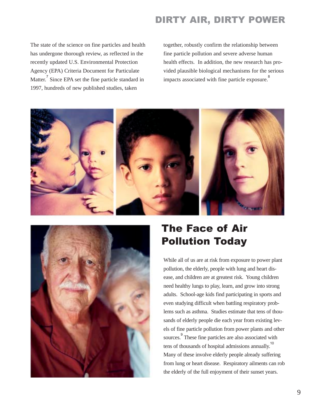The state of the science on fine particles and health has undergone thorough review, as reflected in the recently updated U.S. Environmental Protection Agency (EPA) Criteria Document for Particulate Matter.<sup>7</sup> Since EPA set the fine particle standard in 1997, hundreds of new published studies, taken

together, robustly confirm the relationship between fine particle pollution and severe adverse human health effects. In addition, the new research has provided plausible biological mechanisms for the serious impacts associated with fine particle exposure.<sup>8</sup>





## The Face of Air Pollution Today

While all of us are at risk from exposure to power plant pollution, the elderly, people with lung and heart disease, and children are at greatest risk. Young children need healthy lungs to play, learn, and grow into strong adults. School-age kids find participating in sports and even studying difficult when battling respiratory problems such as asthma. Studies estimate that tens of thousands of elderly people die each year from existing levels of fine particle pollution from power plants and other sources. <sup>9</sup> These fine particles are also associated with tens of thousands of hospital admissions annually.<sup>10</sup> Many of these involve elderly people already suffering from lung or heart disease. Respiratory ailments can rob the elderly of the full enjoyment of their sunset years.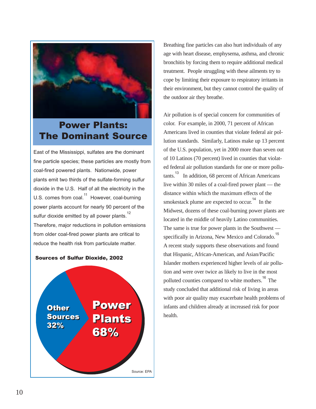

## Power Plants: The Dominant Source

East of the Mississippi, sulfates are the dominant fine particle species; these particles are mostly from coal-fired powered plants. Nationwide, power plants emit two thirds of the sulfate-forming sulfur dioxide in the U.S. Half of all the electricity in the U.S. comes from coal.<sup>11</sup> However, coal-burning power plants account for nearly 90 percent of the sulfur dioxide emitted by all power plants.<sup>12</sup> Therefore, major reductions in pollution emissions from older coal-fired power plants are critical to reduce the health risk from particulate matter.

#### Sources of Sulfur Dioxide, 2002



Breathing fine particles can also hurt individuals of any age with heart disease, emphysema, asthma, and chronic bronchitis by forcing them to require additional medical treatment. People struggling with these ailments try to cope by limiting their exposure to respiratory irritants in their environment, but they cannot control the quality of the outdoor air they breathe.

Air pollution is of special concern for communities of color. For example, in 2000, 71 percent of African Americans lived in counties that violate federal air pollution standards. Similarly, Latinos make up 13 percent of the U.S. population, yet in 2000 more than seven out of 10 Latinos (70 percent) lived in counties that violated federal air pollution standards for one or more pollutants. <sup>13</sup> In addition, 68 percent of African Americans live within 30 miles of a coal-fired power plant — the distance within which the maximum effects of the smokestack plume are expected to occur.<sup>14</sup> In the Midwest, dozens of these coal-burning power plants are located in the middle of heavily Latino communities. The same is true for power plants in the Southwest specifically in Arizona, New Mexico and Colorado.<sup>15</sup> A recent study supports these observations and found that Hispanic, African-American, and Asian/Pacific Islander mothers experienced higher levels of air pollution and were over twice as likely to live in the most polluted counties compared to white mothers.<sup>16</sup> The study concluded that additional risk of living in areas with poor air quality may exacerbate health problems of infants and children already at increased risk for poor health.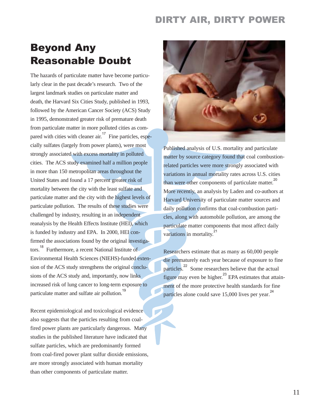## Beyond Any Reasonable Doubt

The hazards of particulate matter have become particularly clear in the past decade's research. Two of the largest landmark studies on particulate matter and death, the Harvard Six Cities Study, published in 1993, followed by the American Cancer Society (ACS) Study in 1995, demonstrated greater risk of premature death from particulate matter in more polluted cities as compared with cities with cleaner  $air<sup>17</sup>$ . Fine particles, especially sulfates (largely from power plants), were most strongly associated with excess mortality in polluted cities. The ACS study examined half a million people in more than 150 metropolitan areas throughout the United States and found a 17 percent greater risk of mortality between the city with the least sulfate and particulate matter and the city with the highest levels of particulate pollution. The results of these studies were challenged by industry, resulting in an independent reanalysis by the Health Effects Institute (HEI), which is funded by industry and EPA. In 2000, HEI confirmed the associations found by the original investigators. <sup>18</sup> Furthermore, a recent National Institute of Environmental Health Sciences (NIEHS)-funded extension of the ACS study strengthens the original conclusions of the ACS study and, importantly, now links increased risk of lung cancer to long-term exposure to particulate matter and sulfate air pollution.<sup>19</sup>

Recent epidemiological and toxicological evidence also suggests that the particles resulting from coalfired power plants are particularly dangerous. Many studies in the published literature have indicated that sulfate particles, which are predominantly formed from coal-fired power plant sulfur dioxide emissions, are more strongly associated with human mortality than other components of particulate matter.



Published analysis of U.S. mortality and particulate matter by source category found that coal combustionrelated particles were more strongly associated with variations in annual mortality rates across U.S. cities than were other components of particulate matter.<sup>20</sup> More recently, an analysis by Laden and co-authors at Harvard University of particulate matter sources and daily pollution confirms that coal-combustion particles, along with automobile pollution, are among the particulate matter components that most affect daily variations in mortality.<sup>21</sup>

Researchers estimate that as many as 60,000 people die prematurely each year because of exposure to fine particles.<sup>22</sup> Some researchers believe that the actual figure may even be higher.<sup>23</sup> EPA estimates that attainment of the more protective health standards for fine particles alone could save 15,000 lives per year.<sup>24</sup>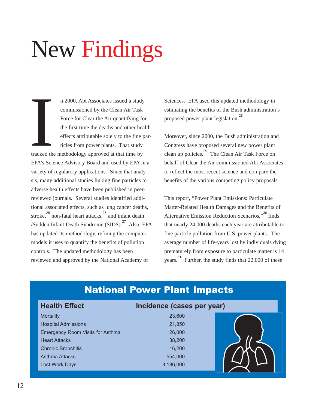## New Findings

I n 2000, Abt Associates issued a study commissioned by the Clean Air Task Force for Clear the Air quantifying for the first time the deaths and other health effects attributable solely to the fine particles from power plants. That study tracked the methodology approved at that time by EPA's Science Advisory Board and used by EPA in a variety of regulatory applications. Since that analysis, many additional studies linking fine particles to adverse health effects have been published in peerreviewed journals. Several studies identified additional associated effects, such as lung cancer deaths, stroke, $^{25}$  non-fatal heart attacks, $^{26}$  and infant death /Sudden Infant Death Syndrome (SIDS).<sup>27</sup> Also, EPA has updated its methodology, refining the computer models it uses to quantify the benefits of pollution controls. The updated methodology has been reviewed and approved by the National Academy of

Sciences. EPA used this updated methodology in estimating the benefits of the Bush administration's proposed power plant legislation.<sup>28</sup>

Moreover, since 2000, the Bush administration and Congress have proposed several new power plant clean up policies.<sup>29</sup> The Clean Air Task Force on behalf of Clear the Air commissioned Abt Associates to reflect the most recent science and compare the benefits of the various competing policy proposals.

This report, "Power Plant Emissions: Particulate Matter-Related Health Damages and the Benefits of Alternative Emission Reduction Scenarios,"<sup>30</sup> finds that nearly 24,000 deaths each year are attributable to fine particle pollution from U.S. power plants. The average number of life-years lost by individuals dying prematurely from exposure to particulate matter is 14 years.<sup>31</sup> Further, the study finds that 22,000 of these

| <b>National Power Plant Impacts</b>     |                            |  |  |  |  |
|-----------------------------------------|----------------------------|--|--|--|--|
| <b>Health Effect</b>                    | Incidence (cases per year) |  |  |  |  |
| <b>Mortality</b>                        | 23,600                     |  |  |  |  |
| <b>Hospital Admissions</b>              | 21,850                     |  |  |  |  |
| <b>Emergency Room Visits for Asthma</b> | 26,000                     |  |  |  |  |
| <b>Heart Attacks</b>                    | 38,200                     |  |  |  |  |
| <b>Chronic Bronchitis</b>               | 16,200                     |  |  |  |  |
| Asthma Attacks                          | 554,000                    |  |  |  |  |
| Lost Work Days                          | 3,186,000                  |  |  |  |  |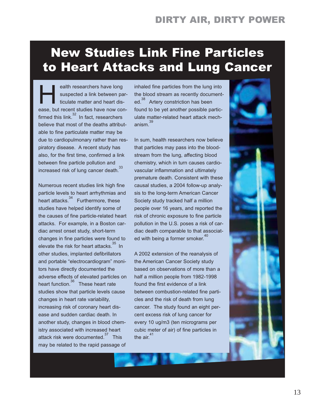## New Studies Link Fine Particles New Studies Link Fine Particles to Heart Attacks and Lung Cancer

ealth researchers have long<br>suspected a link between par-<br>ticulate matter and heart dis-<br>ease, but recent studies have now consuspected a link between particulate matter and heart disfirmed this link. $^{32}$  In fact, researchers believe that most of the deaths attributable to fine particulate matter may be due to cardiopulmonary rather than respiratory disease. A recent study has also, for the first time, confirmed a link between fine particle pollution and increased risk of lung cancer death.<sup>33</sup>

Numerous recent studies link high fine particle levels to heart arrhythmias and heart attacks. $34$  Furthermore, these studies have helped identify some of the causes of fine particle-related heart attacks. For example, in a Boston cardiac arrest onset study, short-term changes in fine particles were found to elevate the risk for heart attacks.<sup>35</sup> In other studies, implanted defibrillators and portable "electrocardiogram" monitors have directly documented the adverse effects of elevated particles on heart function. $^{36}$  These heart rate studies show that particle levels cause changes in heart rate variability, increasing risk of coronary heart disease and sudden cardiac death. In another study, changes in blood chemistry associated with increased heart attack risk were documented.<sup>37</sup> This may be related to the rapid passage of

inhaled fine particles from the lung into the blood stream as recently documented.<sup>38</sup> Artery constriction has been found to be yet another possible particulate matter-related heart attack mechanism $^{39}$ 

In sum, health researchers now believe that particles may pass into the bloodstream from the lung, affecting blood chemistry, which in turn causes cardiovascular inflammation and ultimately premature death. Consistent with these causal studies, a 2004 follow-up analysis to the long-term American Cancer Society study tracked half a million people over 16 years, and reported the risk of chronic exposure to fine particle pollution in the U.S. poses a risk of cardiac death comparable to that associated with being a former smoker. $40^{40}$ 

A 2002 extension of the reanalysis of the American Cancer Society study based on observations of more than a half a million people from 1982-1998 found the first evidence of a link between combustion-related fine particles and the risk of death from lung cancer. The study found an eight percent excess risk of lung cancer for every 10 ug/m3 (ten micrograms per cubic meter of air) of fine particles in the air  $41$ 

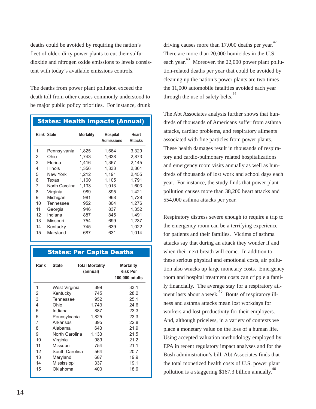deaths could be avoided by requiring the nation's fleet of older, dirty power plants to cut their sulfur dioxide and nitrogen oxide emissions to levels consistent with today's available emissions controls.

The deaths from power plant pollution exceed the death toll from other causes commonly understood to be major public policy priorities. For instance, drunk

#### States: Health Impacts (Annual)

|    | Rank State      | <b>Mortality</b> | Hospital<br><b>Admissions</b> | Heart<br><b>Attacks</b> |
|----|-----------------|------------------|-------------------------------|-------------------------|
| 1  | Pennsylvania    | 1,825            | 1,664                         | 3,329                   |
| 2  | Ohio            | 1.743            | 1,638                         | 2,873                   |
| 3  | Florida         | 1,416            | 1,367                         | 2,145                   |
| 4  | <b>Illinois</b> | 1,356            | 1,333                         | 2,361                   |
| 5  | New York        | 1,212            | 1.191                         | 2.455                   |
| 6  | Texas           | 1,160            | 1,105                         | 1,791                   |
| 7  | North Carolina  | 1,133            | 1,013                         | 1,603                   |
| 8  | Virginia        | 989              | 895                           | 1,421                   |
| 9  | Michigan        | 981              | 968                           | 1,728                   |
| 10 | Tennessee       | 952              | 804                           | 1.276                   |
| 11 | Georgia         | 946              | 837                           | 1,352                   |
| 12 | Indiana         | 887              | 845                           | 1,491                   |
| 13 | Missouri        | 754              | 699                           | 1,237                   |
| 14 | Kentucky        | 745              | 639                           | 1,022                   |
| 15 | Maryland        | 687              | 631                           | 1.014                   |

#### States: Per Capita Deaths

| Rank | <b>State</b>     | <b>Total Mortality</b><br>(annual) | <b>Mortality</b><br><b>Risk Per</b><br>100,000 adults |
|------|------------------|------------------------------------|-------------------------------------------------------|
| 1    | West Virginia    | 399                                | 33.1                                                  |
| 2    | Kentucky         | 745                                | 28.2                                                  |
| 3    | <b>Tennessee</b> | 952                                | 25.1                                                  |
| 4    | Ohio             | 1,743                              | 24.6                                                  |
| 5    | Indiana          | 887                                | 23.3                                                  |
| 5    | Pennsylvania     | 1,825                              | 23.3                                                  |
| 7    | Arkansas         | 395                                | 22.8                                                  |
| 8    | Alabama          | 643                                | 21.9                                                  |
| 9    | North Carolina   | 1,133                              | 21.5                                                  |
| 10   | Virginia         | 989                                | 21.2                                                  |
| 11   | Missouri         | 754                                | 21.1                                                  |
| 12   | South Carolina   | 564                                | 20.7                                                  |
| 13   | Maryland         | 687                                | 19.9                                                  |
| 14   | Mississippi      | 337                                | 19.1                                                  |
| 15   | Oklahoma         | 400                                | 18.6                                                  |

driving causes more than  $17,000$  deaths per year.<sup>42</sup> There are more than 20,000 homicides in the U.S. each year.<sup>43</sup> Moreover, the  $22,000$  power plant pollution-related deaths per year that could be avoided by cleaning up the nation's power plants are two times the 11,000 automobile fatalities avoided each year through the use of safety belts.<sup>44</sup>

The Abt Associates analysis further shows that hundreds of thousands of Americans suffer from asthma attacks, cardiac problems, and respiratory ailments associated with fine particles from power plants. These health damages result in thousands of respiratory and cardio-pulmonary related hospitalizations and emergency room visits annually as well as hundreds of thousands of lost work and school days each year. For instance, the study finds that power plant pollution causes more than 38,200 heart attacks and 554,000 asthma attacks per year.

Respiratory distress severe enough to require a trip to the emergency room can be a terrifying experience for patients and their families. Victims of asthma attacks say that during an attack they wonder if and when their next breath will come. In addition to these serious physical and emotional costs, air pollution also wracks up large monetary costs. Emergency room and hospital treatment costs can cripple a family financially. The average stay for a respiratory ailment lasts about a week.<sup>45</sup> Bouts of respiratory illness and asthma attacks mean lost workdays for workers and lost productivity for their employers. And, although priceless, in a variety of contexts we place a monetary value on the loss of a human life. Using accepted valuation methodology employed by EPA in recent regulatory impact analyses and for the Bush administration's bill, Abt Associates finds that the total monetized health costs of U.S. power plant pollution is a staggering \$167.3 billion annually.<sup>46</sup>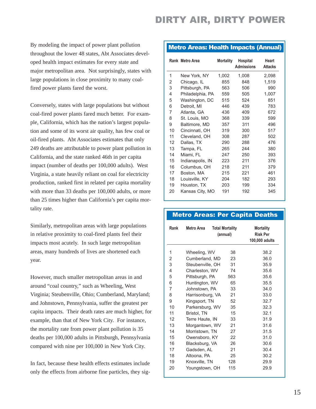By modeling the impact of power plant pollution throughout the lower 48 states, Abt Associates developed health impact estimates for every state and major metropolitan area. Not surprisingly, states with large populations in close proximity to many coalfired power plants fared the worst.

Conversely, states with large populations but without coal-fired power plants fared much better. For example, California, which has the nation's largest population and some of its worst air quality, has few coal or oil-fired plants. Abt Associates estimates that only 249 deaths are attributable to power plant pollution in California, and the state ranked 46th in per capita impact (number of deaths per 100,000 adults). West Virginia, a state heavily reliant on coal for electricity production, ranked first in related per capita mortality with more than 33 deaths per 100,000 adults, or more than 25 times higher than California's per capita mortality rate.

Similarly, metropolitan areas with large populations in relative proximity to coal-fired plants feel their impacts most acutely. In such large metropolitan areas, many hundreds of lives are shortened each year.

However, much smaller metropolitan areas in and around "coal country," such as Wheeling, West Virginia; Steubenville, Ohio; Cumberland, Maryland; and Johnstown, Pennsylvania, suffer the greatest per capita impacts. Their death rates are much higher, for example, than that of New York City. For instance, the mortality rate from power plant pollution is 35 deaths per 100,000 adults in Pittsburgh, Pennsylvania compared with nine per 100,000 in New York City.

In fact, because these health effects estimates include only the effects from airborne fine particles, they sig-

#### Metro Areas: Health Impacts (Annual)

|    | Rank Metro Area  | <b>Mortality</b> | <b>Hospital</b><br><b>Admissions</b> | Heart<br><b>Attacks</b> |
|----|------------------|------------------|--------------------------------------|-------------------------|
| 1  | New York, NY     | 1,002            | 1,008                                | 2,098                   |
| 2  | Chicago, IL      | 855              | 848                                  | 1,519                   |
| 3  | Pittsburgh, PA   | 563              | 506                                  | 990                     |
| 4  | Philadelphia, PA | 559              | 505                                  | 1,007                   |
| 5  | Washington, DC   | 515              | 524                                  | 851                     |
| 6  | Detroit, MI      | 446              | 439                                  | 783                     |
| 7  | Atlanta, GA      | 436              | 409                                  | 672                     |
| 8  | St. Louis, MO    | 368              | 339                                  | 599                     |
| 9  | Baltimore, MD    | 357              | 311                                  | 496                     |
| 10 | Cincinnati, OH   | 319              | 300                                  | 517                     |
| 11 | Cleveland, OH    | 308              | 287                                  | 502                     |
| 12 | Dallas, TX       | 290              | 288                                  | 476                     |
| 13 | Tampa, FL        | 265              | 244                                  | 380                     |
| 14 | Miami, FL        | 247              | 250                                  | 393                     |
| 15 | Indianapolis, IN | 223              | 211                                  | 376                     |
| 16 | Columbus, OH     | 218              | 211                                  | 379                     |
| 17 | Boston, MA       | 215              | 221                                  | 461                     |
| 18 | Louisville, KY   | 204              | 182                                  | 293                     |
| 19 | Houston, TX      | 203              | 199                                  | 334                     |
| 20 | Kansas City, MO  | 191              | 192                                  | 345                     |

| Rank | Metro Area       | <b>Total Mortality</b><br>(annual) | <b>Mortality</b><br><b>Risk Per</b><br>100,000 adults |
|------|------------------|------------------------------------|-------------------------------------------------------|
| 1    | Wheeling, WV     | 38                                 | 38.2                                                  |
| 2    | Cumberland, MD   | 23                                 | 36.0                                                  |
| 3    | Steubenville, OH | 31                                 | 35.9                                                  |
| 4    | Charleston, WV   | 74                                 | 35.6                                                  |
| 5    | Pittsburgh, PA   | 563                                | 35.6                                                  |
| 6    | Huntington, WV   | 65                                 | 35.5                                                  |
| 7    | Johnstown, PA    | 33                                 | 34.0                                                  |
| 8    | Harrisonburg, VA | 21                                 | 33.0                                                  |
| 9    | Kingsport, TN    | 52                                 | 32.7                                                  |
| 10   | Parkersburg, WV  | 35                                 | 32.3                                                  |
| 11   | Bristol, TN      | 15                                 | 32.1                                                  |
| 12   | Terre Haute, IN  | 33                                 | 31.9                                                  |
| 13   | Morgantown, WV   | 21                                 | 31.6                                                  |
| 14   | Morristown, TN   | 27                                 | 31.5                                                  |
| 15   | Owensboro, KY    | 22                                 | 31.0                                                  |
| 16   | Blacksburg, VA   | 26                                 | 30.6                                                  |
| 17   | Gadsden, AL      | 21                                 | 30.4                                                  |
| 18   | Altoona, PA      | 25                                 | 30.2                                                  |
| 19   | Knoxville, TN    | 128                                | 29.9                                                  |
| 20   | Youngstown, OH   | 115                                | 29.9                                                  |

#### Metro Areas: Per Capita Deaths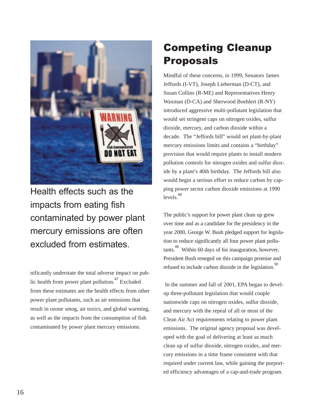

Health effects such as the impacts from eating fish contaminated by power plant mercury emissions are often excluded from estimates.

nificantly understate the total adverse impact on public health from power plant pollution.<sup>47</sup> Excluded from these estimates are the health effects from other power plant pollutants, such as air emissions that result in ozone smog, air toxics, and global warming, as well as the impacts from the consumption of fish contaminated by power plant mercury emissions.

## Competing Cleanup Proposals

Mindful of these concerns, in 1999, Senators James Jeffords (I-VT), Joseph Lieberman (D-CT), and Susan Collins (R-ME) and Representatives Henry Waxman (D-CA) and Sherwood Boehlert (R-NY) introduced aggressive multi-pollutant legislation that would set stringent caps on nitrogen oxides, sulfur dioxide, mercury, and carbon dioxide within a decade. The "Jeffords bill" would set plant-by-plant mercury emissions limits and contains a "birthday" provision that would require plants to install modern pollution controls for nitrogen oxides and sulfur dioxide by a plant's 40th birthday. The Jeffords bill also would begin a serious effort to reduce carbon by capping power sector carbon dioxide emissions at 1990 levels.<sup>48</sup>

The public's support for power plant clean up grew over time and as a candidate for the presidency in the year 2000, George W. Bush pledged support for legislation to reduce significantly all four power plant pollutants. <sup>49</sup> Within 60 days of his inauguration, however, President Bush reneged on this campaign promise and refused to include carbon dioxide in the legislation.<sup>50</sup>

In the summer and fall of 2001, EPA began to develop three-pollutant legislation that would couple nationwide caps on nitrogen oxides, sulfur dioxide, and mercury with the repeal of all or most of the Clean Air Act requirements relating to power plant emissions. The original agency proposal was developed with the goal of delivering at least as much clean up of sulfur dioxide, nitrogen oxides, and mercury emissions in a time frame consistent with that required under current law, while gaining the purported efficiency advantages of a cap-and-trade program.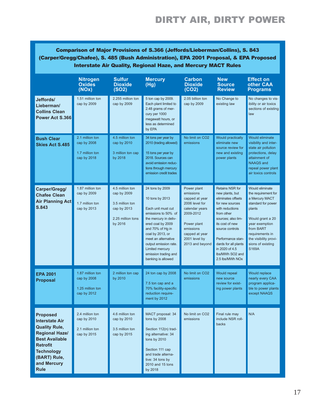Comparison of Major Provisions of S.366 (Jeffords/Lieberman/Collins), S. 843 (Carper/Gregg/Chafee), S. 485 (Bush Administration), EPA 2001 Proposal, & EPA Proposed Interstate Air Quality, Regional Haze, and Mercury MACT Rules

|                                                                                                                                                                                                          | Nitrogen<br>Oxides<br>(NOx)                                        | <b>Sulfur</b><br><b>Dioxide</b><br>(SO2)                                                         | <b>Mercury</b><br>(Hg)                                                                                                                                                                                                                                                                 | <b>Carbon</b><br><b>Dioxide</b><br>(CO2)                                                                                                                                      | <b>New</b><br><b>Source</b><br><b>Review</b>                                                                                                                                                                                                                                         | <b>Effect on</b><br>other CAA<br><b>Programs</b>                                                                                                                                                                      |
|----------------------------------------------------------------------------------------------------------------------------------------------------------------------------------------------------------|--------------------------------------------------------------------|--------------------------------------------------------------------------------------------------|----------------------------------------------------------------------------------------------------------------------------------------------------------------------------------------------------------------------------------------------------------------------------------------|-------------------------------------------------------------------------------------------------------------------------------------------------------------------------------|--------------------------------------------------------------------------------------------------------------------------------------------------------------------------------------------------------------------------------------------------------------------------------------|-----------------------------------------------------------------------------------------------------------------------------------------------------------------------------------------------------------------------|
| Jeffords/<br>Lieberman/<br><b>Collins Clean</b><br><b>Power Act S.366</b>                                                                                                                                | 1.51 million ton<br>cap by 2009                                    | 2.255 million ton<br>cap by 2009                                                                 | 5 ton cap by 2009.<br>Each plant limited to<br>2.48 grams of mer-<br>cury per 1000<br>megawatt hours, or<br>less as determined<br>by EPA                                                                                                                                               | 2.05 billion ton<br>cap by 2009                                                                                                                                               | No Change to<br>existing law                                                                                                                                                                                                                                                         | No changes to vis-<br>ibility or air toxics<br>sections of existing<br>law                                                                                                                                            |
| <b>Bush Clear</b><br><b>Skies Act S.485</b>                                                                                                                                                              | 2.1 million ton<br>cap by 2008<br>1.7 million ton<br>cap by 2018   | 4.5 million ton<br>cap by 2010<br>3 million ton cap<br>by 2018                                   | 34 tons per year by<br>2010 (trading allowed)<br>15 tons per year by<br>2018. Sources can<br>avoid emission reduc-<br>tions through mercury<br>emission credit trades                                                                                                                  | No limit on CO2<br>emissions                                                                                                                                                  | Would practically<br>eliminate new<br>source review for<br>new and existing<br>power plants                                                                                                                                                                                          | Would eliminate<br>visibility and inter-<br>state air pollution<br>protections, delay<br>attainment of<br><b>NAAQS</b> and<br>repeal power plant<br>air toxics controls                                               |
| Carper/Gregg/<br><b>Chafee Clean</b><br><b>Air Planning Act</b><br>S.843                                                                                                                                 | 1.87 million ton<br>cap by 2009<br>1.7 million ton<br>cap by 2013  | 4.5 million ton<br>cap by 2009<br>3.5 million ton<br>cap by 2013<br>2.25 million tons<br>by 2016 | 24 tons by 2009<br>10 tons by 2013<br>Each unit must cut<br>emissions to 50% of<br>the mercury in deliv-<br>ered coal by 2009<br>and 70% of Hg in<br>coal by 2013, or<br>meet an alternative<br>output emission rate.<br>Limited mercury<br>emission trading and<br>banking is allowed | Power plant<br>emissions<br>capped at year<br>2006 level for<br>calendar years<br>2009-2012<br>Power plant<br>emissions<br>capped at year<br>2001 level by<br>2013 and beyond | <b>Retains NSR for</b><br>new plants, but<br>eliminates offsets<br>for new sources<br>with reductions<br>from other<br>sources; also lim-<br>its cost of new<br>source controls<br>Performance stan-<br>dards for all plants<br>in 2020 of 4.5<br>lbs/MWh SO2 and<br>2.5 lbs/MWh NOx | Would eliminate<br>the requirement for<br>a Mercury MACT<br>standard for power<br>plants<br>Would grant a 20<br>year exemption<br>from BART<br>requirements in<br>the visibility provi-<br>sions of existing<br>S169A |
| <b>EPA 2001</b><br><b>Proposal</b>                                                                                                                                                                       | 1.87 million ton<br>cap by 2008<br>1.25 million ton<br>cap by 2012 | 2 million ton cap<br>by 2010                                                                     | 24 ton cap by 2008<br>7.5 ton cap and a<br>70% facility-specific<br>reduction require-<br>ment by 2012                                                                                                                                                                                 | No limit on CO <sub>2</sub><br>emissions                                                                                                                                      | Would repeal<br>new source<br>review for exist-<br>ing power plants                                                                                                                                                                                                                  | <b>Would replace</b><br>nearly every CAA<br>program applica-<br>ble to power plants<br>except NAAQS                                                                                                                   |
| <b>Proposed</b><br><b>Interstate Air</b><br><b>Quality Rule,</b><br><b>Regional Haze/</b><br><b>Best Available</b><br><b>Retrofit</b><br><b>Technology</b><br>(BART) Rule,<br>and Mercury<br><b>Rule</b> | 2.4 million ton<br>cap by 2010<br>2.1 million ton<br>cap by 2015   | 4.6 million ton<br>cap by 2010<br>3.5 million ton<br>cap by 2015                                 | MACT proposal: 34<br>tons by 2008<br>Section 112(n) trad-<br>ing alternative: 34<br>tons by 2010<br>Section 111 cap<br>and trade alterna-<br>tive: 34 tons by<br>2010 and 15 tons<br>by 2018                                                                                           | No limit on CO2<br>emissions                                                                                                                                                  | Final rule may<br>include NSR roll-<br>backs                                                                                                                                                                                                                                         | N/A                                                                                                                                                                                                                   |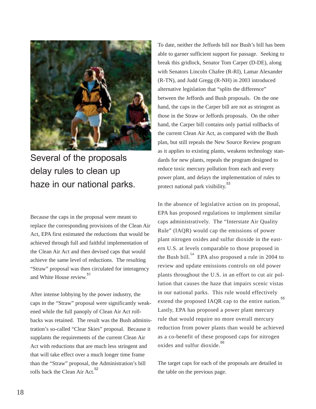

Several of the proposals delay rules to clean up haze in our national parks.

Because the caps in the proposal were meant to replace the corresponding provisions of the Clean Air Act, EPA first estimated the reductions that would be achieved through full and faithful implementation of the Clean Air Act and then devised caps that would achieve the same level of reductions. The resulting "Straw" proposal was then circulated for interagency and White House review.<sup>51</sup>

After intense lobbying by the power industry, the caps in the "Straw" proposal were significantly weakened while the full panoply of Clean Air Act rollbacks was retained. The result was the Bush administration's so-called "Clear Skies" proposal. Because it supplants the requirements of the current Clean Air Act with reductions that are much less stringent and that will take effect over a much longer time frame than the "Straw" proposal, the Administration's bill rolls back the Clean Air Act.<sup>52</sup>

To date, neither the Jeffords bill nor Bush's bill has been able to garner sufficient support for passage. Seeking to break this gridlock, Senator Tom Carper (D-DE), along with Senators Lincoln Chafee (R-RI), Lamar Alexander (R-TN), and Judd Gregg (R-NH) in 2003 introduced alternative legislation that "splits the difference" between the Jeffords and Bush proposals. On the one hand, the caps in the Carper bill are not as stringent as those in the Straw or Jeffords proposals. On the other hand, the Carper bill contains only partial rollbacks of the current Clean Air Act, as compared with the Bush plan, but still repeals the New Source Review program as it applies to existing plants, weakens technology standards for new plants, repeals the program designed to reduce toxic mercury pollution from each and every power plant, and delays the implementation of rules to protect national park visibility.<sup>53</sup>

In the absence of legislative action on its proposal, EPA has proposed regulations to implement similar caps administratively. The "Interstate Air Quality Rule" (IAQR) would cap the emissions of power plant nitrogen oxides and sulfur dioxide in the eastern U.S. at levels comparable to those proposed in the Bush bill.<sup>54</sup> EPA also proposed a rule in 2004 to review and update emissions controls on old power plants throughout the U.S. in an effort to cut air pollution that causes the haze that impairs scenic vistas in our national parks. This rule would effectively extend the proposed IAQR cap to the entire nation. Lastly, EPA has proposed a power plant mercury rule that would require no more overall mercury reduction from power plants than would be achieved as a co-benefit of these proposed caps for nitrogen oxides and sulfur dioxide.<sup>56</sup>

The target caps for each of the proposals are detailed in the table on the previous page.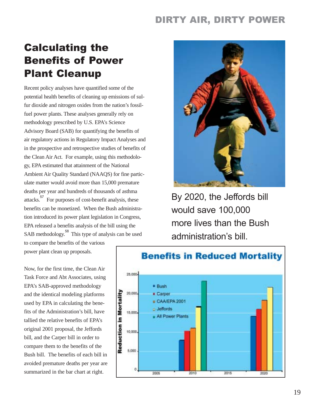## Calculating the Benefits of Power Plant Cleanup

Recent policy analyses have quantified some of the potential health benefits of cleaning up emissions of sulfur dioxide and nitrogen oxides from the nation's fossilfuel power plants. These analyses generally rely on methodology prescribed by U.S. EPA's Science Advisory Board (SAB) for quantifying the benefits of air regulatory actions in Regulatory Impact Analyses and in the prospective and retrospective studies of benefits of the Clean Air Act. For example, using this methodology, EPA estimated that attainment of the National Ambient Air Quality Standard (NAAQS) for fine particulate matter would avoid more than 15,000 premature deaths per year and hundreds of thousands of asthma attacks.<sup>57</sup> For purposes of cost-benefit analysis, these benefits can be monetized. When the Bush administration introduced its power plant legislation in Congress, EPA released a benefits analysis of the bill using the SAB methodology.<sup>58</sup> This type of analysis can be used to compare the benefits of the various

power plant clean up proposals.

Now, for the first time, the Clean Air Task Force and Abt Associates, using EPA's SAB-approved methodology and the identical modeling platforms used by EPA in calculating the benefits of the Administration's bill, have tallied the relative benefits of EPA's original 2001 proposal, the Jeffords bill, and the Carper bill in order to compare them to the benefits of the Bush bill. The benefits of each bill in avoided premature deaths per year are summarized in the bar chart at right.



By 2020, the Jeffords bill would save 100,000 more lives than the Bush administration's bill.

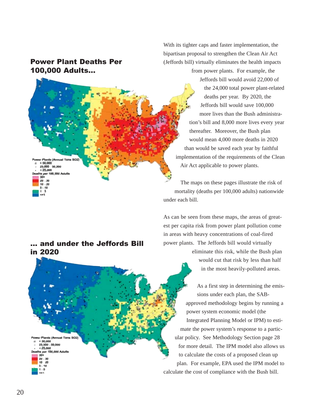#### Power Plant Deaths Per 100,000 Adults...



#### ... and under the Jeffords Bill in 2020

Plants (Annual Tons 502)  $> 50,000$ 25,000 - 50,000  $-25,000$ 100,000 Adults 20

 $10 - 30$ 

With its tighter caps and faster implementation, the bipartisan proposal to strengthen the Clean Air Act (Jeffords bill) virtually eliminates the health impacts

> from power plants. For example, the Jeffords bill would avoid 22,000 of the 24,000 total power plant-related deaths per year. By 2020, the Jeffords bill would save 100,000 more lives than the Bush administration's bill and 8,000 more lives every year thereafter. Moreover, the Bush plan would mean 4,000 more deaths in 2020 than would be saved each year by faithful implementation of the requirements of the Clean Air Act applicable to power plants.

The maps on these pages illustrate the risk of mortality (deaths per 100,000 adults) nationwide under each bill.

As can be seen from these maps, the areas of greatest per capita risk from power plant pollution come in areas with heavy concentrations of coal-fired power plants. The Jeffords bill would virtually

> eliminate this risk, while the Bush plan would cut that risk by less than half in the most heavily-polluted areas.

As a first step in determining the emissions under each plan, the SABapproved methodology begins by running a power system economic model (the Integrated Planning Model or IPM) to estimate the power system's response to a particular policy. See Methodology Section page 28 for more detail. The IPM model also allows us to calculate the costs of a proposed clean up plan. For example, EPA used the IPM model to calculate the cost of compliance with the Bush bill.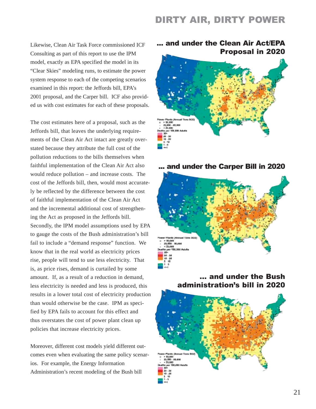Likewise, Clean Air Task Force commissioned ICF Consulting as part of this report to use the IPM model, exactly as EPA specified the model in its "Clear Skies" modeling runs, to estimate the power system response to each of the competing scenarios examined in this report: the Jeffords bill, EPA's 2001 proposal, and the Carper bill. ICF also provided us with cost estimates for each of these proposals.

The cost estimates here of a proposal, such as the Jeffords bill, that leaves the underlying requirements of the Clean Air Act intact are greatly overstated because they attribute the full cost of the pollution reductions to the bills themselves when faithful implementation of the Clean Air Act also would reduce pollution – and increase costs. The cost of the Jeffords bill, then, would most accurately be reflected by the difference between the cost of faithful implementation of the Clean Air Act and the incremental additional cost of strengthening the Act as proposed in the Jeffords bill. Secondly, the IPM model assumptions used by EPA to gauge the costs of the Bush administration's bill fail to include a "demand response" function. We know that in the real world as electricity prices rise, people will tend to use less electricity. That is, as price rises, demand is curtailed by some amount. If, as a result of a reduction in demand, less electricity is needed and less is produced, this results in a lower total cost of electricity production than would otherwise be the case. IPM as specified by EPA fails to account for this effect and thus overstates the cost of power plant clean up policies that increase electricity prices.

Moreover, different cost models yield different outcomes even when evaluating the same policy scenarios. For example, the Energy Information Administration's recent modeling of the Bush bill

#### ... and under the Clean Air Act/EPA Proposal in 2020





#### ... and under the Bush administration's bill in 2020

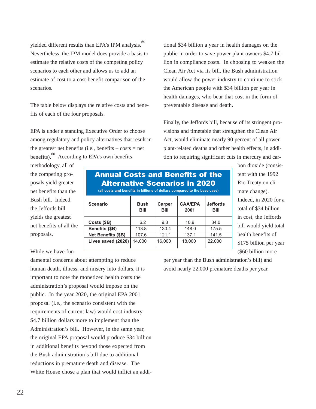yielded different results than EPA's IPM analysis.<sup>59</sup> Nevertheless, the IPM model does provide a basis to estimate the relative costs of the competing policy scenarios to each other and allows us to add an estimate of cost to a cost-benefit comparison of the scenarios.

The table below displays the relative costs and benefits of each of the four proposals.

EPA is under a standing Executive Order to choose among regulatory and policy alternatives that result in the greatest net benefits (i.e., benefits  $-\cos\theta = \text{net}$ benefits). $60$  According to EPA's own benefits

tional \$34 billion a year in health damages on the public in order to save power plant owners \$4.7 billion in compliance costs. In choosing to weaken the Clean Air Act via its bill, the Bush administration would allow the power industry to continue to stick the American people with \$34 billion per year in health damages, who bear that cost in the form of preventable disease and death.

Finally, the Jeffords bill, because of its stringent provisions and timetable that strengthen the Clean Air Act, would eliminate nearly 90 percent of all power plant-related deaths and other health effects, in addition to requiring significant cuts in mercury and car-

methodology, all of the competing proposals yield greater net benefits than the Bush bill. Indeed, the Jeffords bill yields the greatest net benefits of all the proposals.

| <b>Alternative Scenarios in 2020</b><br>(all costs and benefits in billions of dollars compared to the base case)    |       |       |       |       |  |  |  |
|----------------------------------------------------------------------------------------------------------------------|-------|-------|-------|-------|--|--|--|
| <b>CAA/EPA</b><br><b>Jeffords</b><br><b>Scenario</b><br>Bush<br>Carper<br>Bill<br>2001<br><b>Bill</b><br><b>Bill</b> |       |       |       |       |  |  |  |
| Costs (\$B)                                                                                                          | 6.2   | 9.3   | 10.9  | 34.0  |  |  |  |
| Benefits (\$B)                                                                                                       | 113.8 | 130.4 | 148.0 | 175.5 |  |  |  |
| 107.6<br>121.1<br>137.1<br><b>Net Benefits (\$B)</b><br>141.5                                                        |       |       |       |       |  |  |  |
| 14,000<br>Lives saved (2020)<br>22,000<br>16,000<br>18,000                                                           |       |       |       |       |  |  |  |

Annual Costs and Benefits of the

bon dioxide (consistent with the 1992 Rio Treaty on climate change). Indeed, in 2020 for a total of \$34 billion in cost, the Jeffords bill would yield total health benefits of \$175 billion per year (\$60 billion more

While we have fun-

damental concerns about attempting to reduce human death, illness, and misery into dollars, it is important to note the monetized health costs the administration's proposal would impose on the public. In the year 2020, the original EPA 2001 proposal (i.e., the scenario consistent with the requirements of current law) would cost industry \$4.7 billion dollars more to implement than the Administration's bill. However, in the same year, the original EPA proposal would produce \$34 billion in additional benefits beyond those expected from the Bush administration's bill due to additional reductions in premature death and disease. The White House chose a plan that would inflict an addi-

per year than the Bush administration's bill) and avoid nearly 22,000 premature deaths per year.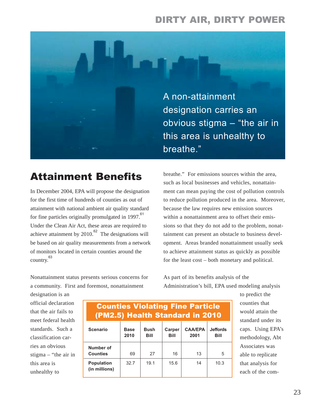

## Attainment Benefits

In December 2004, EPA will propose the designation for the first time of hundreds of counties as out of attainment with national ambient air quality standard for fine particles originally promulgated in  $1997$ .<sup>61</sup> Under the Clean Air Act, these areas are required to achieve attainment by  $2010$ .<sup>62</sup> The designations will be based on air quality measurements from a network of monitors located in certain counties around the country. 63

Nonattainment status presents serious concerns for a community. First and foremost, nonattainment

breathe." For emissions sources within the area, such as local businesses and vehicles, nonattainment can mean paying the cost of pollution controls to reduce pollution produced in the area. Moreover, because the law requires new emission sources within a nonattainment area to offset their emissions so that they do not add to the problem, nonattainment can present an obstacle to business development. Areas branded nonattainment usually seek to achieve attainment status as quickly as possible for the least cost – both monetary and political.

As part of its benefits analysis of the Administration's bill, EPA used modeling analysis

designation is an official declaration that the air fails to meet federal health standards. Such a classification carries an obvious stigma – "the air in this area is unhealthy to

| (PM2.5) Health Standard in 2010    |                     |                            |                |                        |                                |  |
|------------------------------------|---------------------|----------------------------|----------------|------------------------|--------------------------------|--|
| <b>Scenario</b>                    | <b>Base</b><br>2010 | <b>Bush</b><br><b>Bill</b> | Carper<br>Bill | <b>CAA/EPA</b><br>2001 | <b>Jeffords</b><br><b>Bill</b> |  |
| Number of<br>Counties              | 69                  | 27                         | 16             | 13                     | 5                              |  |
| <b>Population</b><br>(in millions) | 32.7                | 19.1                       | 15.6           | 14                     | 10.3                           |  |

Counties Violating Fine Particle

to predict the counties that would attain the standard under its caps. Using EPA's methodology, Abt Associates was able to replicate that analysis for each of the com-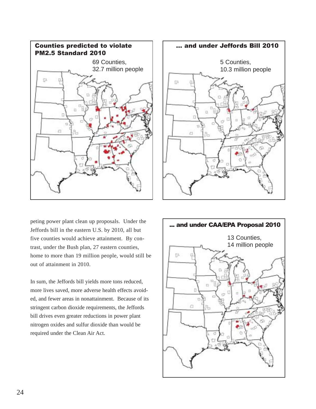

peting power plant clean up proposals. Under the Jeffords bill in the eastern U.S. by 2010, all but five counties would achieve attainment. By contrast, under the Bush plan, 27 eastern counties, home to more than 19 million people, would still be out of attainment in 2010.

In sum, the Jeffords bill yields more tons reduced, more lives saved, more adverse health effects avoided, and fewer areas in nonattainment. Because of its stringent carbon dioxide requirements, the Jeffords bill drives even greater reductions in power plant nitrogen oxides and sulfur dioxide than would be required under the Clean Air Act.



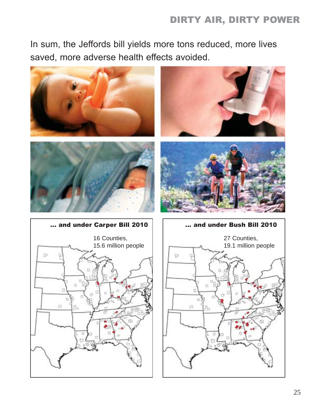In sum, the Jeffords bill yields more tons reduced, more lives saved, more adverse health effects avoided.

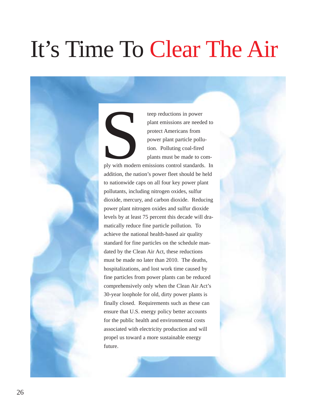## It's Time To Clear The Air

teep reductions in power<br>plant emissions are need<br>protect Americans from<br>power plant particle poll<br>tion. Polluting coal-fired<br>plants must be made to c<br>ply with modern emissions control standard plant emissions are needed to protect Americans from power plant particle pollution. Polluting coal-fired plants must be made to com-

ply with modern emissions control standards. In addition, the nation's power fleet should be held to nationwide caps on all four key power plant pollutants, including nitrogen oxides, sulfur dioxide, mercury, and carbon dioxide. Reducing power plant nitrogen oxides and sulfur dioxide levels by at least 75 percent this decade will dramatically reduce fine particle pollution. To achieve the national health-based air quality standard for fine particles on the schedule mandated by the Clean Air Act, these reductions must be made no later than 2010. The deaths, hospitalizations, and lost work time caused by fine particles from power plants can be reduced comprehensively only when the Clean Air Act's 30-year loophole for old, dirty power plants is finally closed. Requirements such as these can ensure that U.S. energy policy better accounts for the public health and environmental costs associated with electricity production and will propel us toward a more sustainable energy future.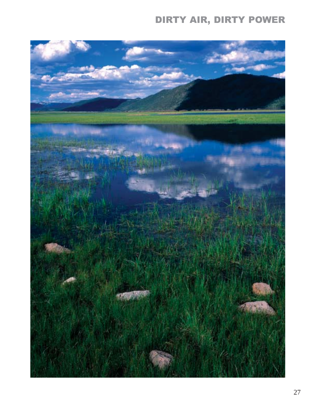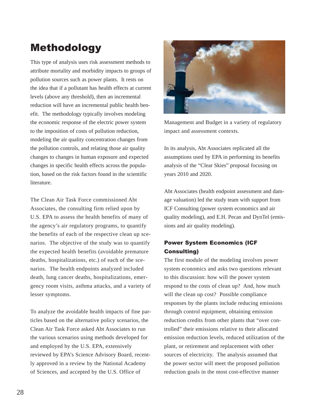## Methodology

This type of analysis uses risk assessment methods to attribute mortality and morbidity impacts to groups of pollution sources such as power plants. It rests on the idea that if a pollutant has health effects at current levels (above any threshold), then an incremental reduction will have an incremental public health benefit. The methodology typically involves modeling the economic response of the electric power system to the imposition of costs of pollution reduction, modeling the air quality concentration changes from the pollution controls, and relating those air quality changes to changes in human exposure and expected changes in specific health effects across the population, based on the risk factors found in the scientific literature.

The Clean Air Task Force commissioned Abt Associates, the consulting firm relied upon by U.S. EPA to assess the health benefits of many of the agency's air regulatory programs, to quantify the benefits of each of the respective clean up scenarios. The objective of the study was to quantify the expected health benefits (avoidable premature deaths, hospitalizations, etc.) of each of the scenarios. The health endpoints analyzed included death, lung cancer deaths, hospitalizations, emergency room visits, asthma attacks, and a variety of lesser symptoms.

To analyze the avoidable health impacts of fine particles based on the alternative policy scenarios, the Clean Air Task Force asked Abt Associates to run the various scenarios using methods developed for and employed by the U.S. EPA, extensively reviewed by EPA's Science Advisory Board, recently approved in a review by the National Academy of Sciences, and accepted by the U.S. Office of

![](_page_29_Picture_4.jpeg)

Management and Budget in a variety of regulatory impact and assessment contexts.

In its analysis, Abt Associates replicated all the assumptions used by EPA in performing its benefits analysis of the "Clear Skies" proposal focusing on years 2010 and 2020.

Abt Associates (health endpoint assessment and damage valuation) led the study team with support from ICF Consulting (power system economics and air quality modeling), and E.H. Pecan and DynTel (emissions and air quality modeling).

#### Power System Economics (ICF Consulting)

The first module of the modeling involves power system economics and asks two questions relevant to this discussion: how will the power system respond to the costs of clean up? And, how much will the clean up cost? Possible compliance responses by the plants include reducing emissions through control equipment, obtaining emission reduction credits from other plants that "over controlled" their emissions relative to their allocated emission reduction levels, reduced utilization of the plant, or retirement and replacement with other sources of electricity. The analysis assumed that the power sector will meet the proposed pollution reduction goals in the most cost-effective manner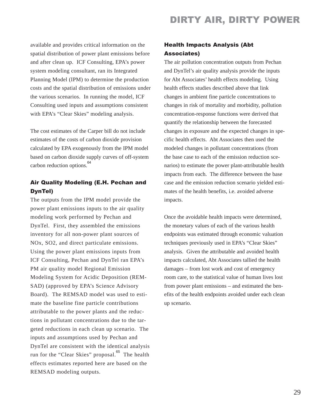available and provides critical information on the spatial distribution of power plant emissions before and after clean up. ICF Consulting, EPA's power system modeling consultant, ran its Integrated Planning Model (IPM) to determine the production costs and the spatial distribution of emissions under the various scenarios. In running the model, ICF Consulting used inputs and assumptions consistent with EPA's "Clear Skies" modeling analysis.

The cost estimates of the Carper bill do not include estimates of the costs of carbon dioxide provision calculated by EPA exogenously from the IPM model based on carbon dioxide supply curves of off-system carbon reduction options.<sup>64</sup>

#### Air Quality Modeling (E.H. Pechan and DynTel)

The outputs from the IPM model provide the power plant emissions inputs to the air quality modeling work performed by Pechan and DynTel. First, they assembled the emissions inventory for all non-power plant sources of NOx, SO2, and direct particulate emissions. Using the power plant emissions inputs from ICF Consulting, Pechan and DynTel ran EPA's PM air quality model Regional Emission Modeling System for Acidic Deposition (REM-SAD) (approved by EPA's Science Advisory Board). The REMSAD model was used to estimate the baseline fine particle contributions attributable to the power plants and the reductions in pollutant concentrations due to the targeted reductions in each clean up scenario. The inputs and assumptions used by Pechan and DynTel are consistent with the identical analysis run for the "Clear Skies" proposal.<sup>65</sup> The health effects estimates reported here are based on the REMSAD modeling outputs.

#### Health Impacts Analysis (Abt Associates)

The air pollution concentration outputs from Pechan and DynTel's air quality analysis provide the inputs for Abt Associates' health effects modeling. Using health effects studies described above that link changes in ambient fine particle concentrations to changes in risk of mortality and morbidity, pollution concentration-response functions were derived that quantify the relationship between the forecasted changes in exposure and the expected changes in specific health effects. Abt Associates then used the modeled changes in pollutant concentrations (from the base case to each of the emission reduction scenarios) to estimate the power plant-attributable health impacts from each. The difference between the base case and the emission reduction scenario yielded estimates of the health benefits, i.e. avoided adverse impacts.

Once the avoidable health impacts were determined, the monetary values of each of the various health endpoints was estimated through economic valuation techniques previously used in EPA's "Clear Skies" analysis. Given the attributable and avoided health impacts calculated, Abt Associates tallied the health damages – from lost work and cost of emergency room care, to the statistical value of human lives lost from power plant emissions – and estimated the benefits of the health endpoints avoided under each clean up scenario.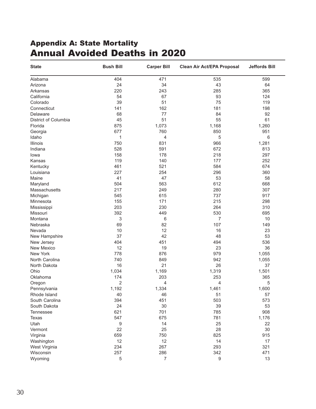### Appendix A: State Mortality Annual Avoided Deaths in 2020

| <b>State</b>         | <b>Bush Bill</b> | <b>Carper Bill</b> | <b>Clean Air Act/EPA Proposal</b> | <b>Jeffords Bill</b> |
|----------------------|------------------|--------------------|-----------------------------------|----------------------|
| Alabama              | 404              | 471                | 535                               | 599                  |
| Arizona              | 24               | 34                 | 43                                | 64                   |
| Arkansas             | 220              | 243                | 285                               | 365                  |
| California           | 54               | 67                 | 93                                | 124                  |
| Colorado             | 39               | 51                 | 75                                | 119                  |
| Connecticut          | 141              | 162                | 181                               | 198                  |
| Delaware             | 68               | 77                 | 84                                | 92                   |
| District of Columbia | 45               | 51                 | 55                                | 61                   |
| Florida              | 875              | 1,073              | 1,168                             | 1,260                |
| Georgia              | 677              | 760                | 850                               | 951                  |
| Idaho                | 1                | 4                  | 5                                 | 6                    |
| Illinois             | 750              | 831                | 966                               | 1,281                |
| Indiana              | 528              | 591                | 672                               | 813                  |
| lowa                 | 158              | 178                | 218                               | 297                  |
| Kansas               | 119              | 140                | 177                               | 252                  |
| Kentucky             | 461              | 521                | 584                               | 674                  |
| Louisiana            | 227              | 254                | 296                               | 360                  |
| Maine                | 41               | 47                 | 53                                | 58                   |
| Maryland             | 504              | 563                | 612                               | 668                  |
| Massachusetts        | 217              | 249                | 280                               | 307                  |
| Michigan             | 545              | 615                | 737                               | 917                  |
| Minnesota            | 155              | 171                | 215                               | 298                  |
| Mississippi          | 203              | 230                | 264                               | 310                  |
| Missouri             | 392              | 449                | 530                               | 695                  |
| Montana              | 3                | $\,6\,$            | 7                                 | 10                   |
| Nebraska             | 69               | 82                 | 107                               | 149                  |
| Nevada               | 10               | 12                 | 16                                | 23                   |
| New Hampshire        | 37               | 42                 | 48                                | 53                   |
| New Jersey           | 404              | 451                | 494                               | 536                  |
| New Mexico           | 12               | 19                 | 23                                | 36                   |
| New York             | 778              | 876                | 979                               | 1,055                |
| North Carolina       | 740              | 849                | 942                               | 1,055                |
| North Dakota         | 16               | 21                 | 26                                | 37                   |
| Ohio                 | 1,034            | 1,169              | 1,319                             | 1,501                |
| Oklahoma             | 174              | 203                | 253                               | 365                  |
| Oregon               | $\overline{2}$   | 4                  | 4                                 | 5                    |
| Pennsylvania         | 1,192            | 1,334              | 1,461                             | 1,600                |
| Rhode Island         | 40               | 46                 | 51                                | 57                   |
| South Carolina       | 394              | 451                | 503                               | 573                  |
| South Dakota         | 24               | 30                 | 39                                | 53                   |
| Tennessee            | 621              | 701                | 785                               | 908                  |
| <b>Texas</b>         | 547              | 675                | 781                               | 1,176                |
| Utah                 | 9                | 14                 | 25                                | 22                   |
| Vermont              | 22               | 25                 | 28                                | 30                   |
| Virginia             | 659              | 750                | 825                               | 915                  |
| Washington           | 12               | 12                 | 14                                | 17                   |
| West Virginia        | 234              | 267                | 293                               | 321                  |
| Wisconsin            | 257              | 286                | 342                               | 471                  |
| Wyoming              | 5                | $\overline{7}$     | $\boldsymbol{9}$                  | 13                   |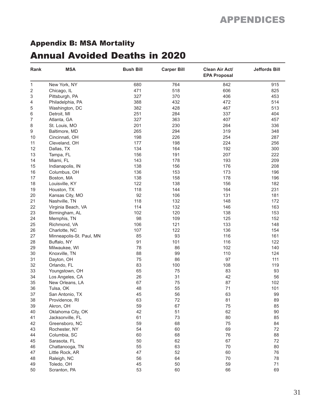## APPENDICES

## Appendix B: MSA Mortality Annual Avoided Deaths in 2020

| Rank                    | <b>MSA</b>               | <b>Bush Bill</b> | <b>Carper Bill</b> | <b>Clean Air Act/</b><br><b>EPA Proposal</b> | <b>Jeffords Bill</b> |
|-------------------------|--------------------------|------------------|--------------------|----------------------------------------------|----------------------|
| 1                       | New York, NY             | 680              | 764                | 842                                          | 915                  |
| $\overline{\mathbf{c}}$ | Chicago, IL              | 471              | 518                | 606                                          | 825                  |
| 3                       | Pittsburgh, PA           | 327              | 370                | 406                                          | 453                  |
| 4                       | Philadelphia, PA         | 388              | 432                | 472                                          | 514                  |
| 5                       | Washington, DC           | 382              | 428                | 467                                          | 513                  |
| 6                       | Detroit, MI              | 251              | 284                | 337                                          | 404                  |
| 7                       | Atlanta, GA              | 327              | 363                | 407                                          | 457                  |
| 8                       | St. Louis, MO            | 201              | 230                | 264                                          | 336                  |
| 9                       | Baltimore, MD            | 265              | 294                | 319                                          | 348                  |
| 10                      | Cincinnati, OH           | 198              | 226                | 254                                          | 287                  |
| 11                      | Cleveland, OH            | 177              | 198                | 224                                          | 256                  |
| 12                      | Dallas, TX               | 134              | 164                | 192                                          | 300                  |
| 13                      | Tampa, FL                | 156              | 191                | 207                                          | 222                  |
| 14                      | Miami, FL                | 143              | 178                | 193                                          | 209                  |
| 15                      | Indianapolis, IN         | 138              | 156                | 176                                          | 208                  |
| 16                      | Columbus, OH             | 136              | 153                | 173                                          | 196                  |
| 17                      | Boston, MA               | 138              | 158                | 178                                          | 196                  |
| 18                      | Louisville, KY           | 122              | 138                | 156                                          | 182                  |
| 19                      | Houston, TX              | 118              | 144                | 164                                          | 231                  |
| 20                      | Kansas City, MO          | 92               | 106                | 131                                          | 181                  |
| 21                      | Nashville, TN            | 118              | 132                | 148                                          | 172                  |
| 22                      | Virginia Beach, VA       | 114              | 132                | 146                                          | 163                  |
| 23                      | Birmingham, AL           | 102              | 120                | 138                                          | 153                  |
| 24                      | Memphis, TN              | 98               | 109                | 125                                          | 152                  |
| 25                      | Richmond, VA             | 106              | 121                | 133                                          | 148                  |
| 26                      |                          | 107              | 122                | 136                                          | 154                  |
| 27                      | Charlotte, NC            | 85               | 93                 | 116                                          | 161                  |
|                         | Minneapolis-St. Paul, MN | 91               |                    |                                              |                      |
| 28                      | Buffalo, NY              | 78               | 101                | 116                                          | 122                  |
| 29                      | Milwaukee, WI            |                  | 86                 | 102                                          | 140                  |
| 30                      | Knoxville, TN            | 88               | 99                 | 110                                          | 124                  |
| 31                      | Dayton, OH               | 75               | 86                 | 97                                           | 111                  |
| 32                      | Orlando, FL              | 83               | 100                | 108                                          | 119                  |
| 33                      | Youngstown, OH           | 65               | 75                 | 83                                           | 93                   |
| 34                      | Los Angeles, CA          | 26               | 31                 | 42                                           | 56                   |
| 35                      | New Orleans, LA          | 67               | 75                 | 87                                           | 102                  |
| 36                      | Tulsa, OK                | 48               | 55                 | 71                                           | 101                  |
| 37                      | San Antonio, TX          | 45               | 56                 | 63                                           | 99                   |
| 38                      | Providence, RI           | 63               | 72                 | 81                                           | 89                   |
| 39                      | Akron, OH                | 59               | 67                 | 75                                           | 85                   |
| 40                      | Oklahoma City, OK        | 42               | 51                 | 62                                           | 90                   |
| 41                      | Jacksonville, FL         | 61               | 73                 | 80                                           | 85                   |
| 42                      | Greensboro, NC           | 59               | 68                 | 75                                           | 84                   |
| 43                      | Rochester, NY            | 54               | 60                 | 69                                           | 72                   |
| 44                      | Columbia, SC             | 60               | 68                 | 76                                           | 88                   |
| 45                      | Sarasota, FL             | 50               | 62                 | 67                                           | 72                   |
| 46                      | Chattanooga, TN          | 55               | 63                 | 70                                           | 80                   |
| 47                      | Little Rock, AR          | 47               | 52                 | 60                                           | 76                   |
| 48                      | Raleigh, NC              | 56               | 64                 | 70                                           | 78                   |
| 49                      | Toledo, OH               | 45               | 50                 | 59                                           | 71                   |
| 50                      | Scranton, PA             | 53               | 60                 | 66                                           | 69                   |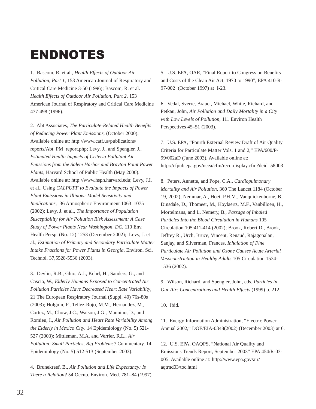## ENDNOTES

1. Bascom, R. et al., *Health Effects of Outdoor Air Pollution, Part 1*, 153 American Journal of Respiratory and Critical Care Medicine 3-50 (1996); Bascom, R. et al. *Health Effects of Outdoor Air Pollution, Part 2*, 153 American Journal of Respiratory and Critical Care Medicine 477-498 (1996).

2. Abt Associates, *The Particulate-Related Health Benefits of Reducing Power Plant Emissions*, (October 2000). Available online at: http://www.catf.us/publications/ reports/Abt\_PM\_report.php; Levy, J., and Spengler, J., *Estimated Health Impacts of Criteria Pollutant Air Emissions from the Salem Harbor and Brayton Point Power Plants*, Harvard School of Public Health (May 2000). Available online at: http://www.hsph.harvard.edu; Levy, J.I. et al., Using *CALPUFF to Evaluate the Impacts of Power Plant Emissions in Illinois: Model Sensitivity and Implications*, 36 Atmospheric Environment 1063–1075 (2002); Levy, J. et al., *The Importance of Population Susceptibility for Air Pollution Risk Assessment: A Case Study of Power Plants Near Washington, DC*, 110 Env. Health Persp. (No. 12) 1253 (December 2002); Levy, J. et al., *Estimation of Primary and Secondary Particulate Matter Intake Fractions for Power Plants in Georgia*, Environ. Sci. Technol. 37,5528-5536 (2003).

3. Devlin, R.B., Ghio, A.J., Kehrl, H., Sanders, G., and Cascio, W., *Elderly Humans Exposed to Concentrated Air Pollution Particles Have Decreased Heart Rate Variability*, 21 The European Respiratory Journal (Suppl. 40) 76s-80s (2003); Holguin, F., Tellez-Rojo, M.M., Hernandez, M., Cortez, M., Chow, J.C., Watson, J.G., Mannino, D., and Romieu, I., *Air Pollution and Heart Rate Variability Among the Elderly in Mexico City*. 14 Epidemiology (No. 5) 521- 527 (2003); Mittleman, M.A. and Verrier, R.L., *Air Pollution: Small Particles, Big Problems?* Commentary. 14 Epidemiology (No. 5) 512-513 (September 2003).

4. Brunekreef, B., *Air Pollution and Life Expectancy: Is There a Relation?* 54 Occup. Environ. Med. 781–84 (1997). 5. U.S. EPA, OAR, "Final Report to Congress on Benefits and Costs of the Clean Air Act, 1970 to 1990", EPA 410-R-97-002 (October 1997) at I-23.

6. Vedal, Sverre, Brauer, Michael, White, Richard, and Petkau, John, *Air Pollution and Daily Mortality in a City with Low Levels of Pollution*, 111 Environ Health Perspectives 45–51 (2003).

7. U.S. EPA, "Fourth External Review Draft of Air Quality Criteria for Particulate Matter Vols. 1 and 2," EPA/600/P-99/002aD (June 2003). Available online at: http://cfpub.epa.gov/ncea/cfm/recordisplay.cfm?deid=58003

8. Peters, Annette, and Pope, C.A., *Cardiopulmonary Mortality and Air Pollution*, 360 The Lancet 1184 (October 19, 2002); Nemmar, A., Hoet, P.H.M., Vanquickenborne, B., Dinsdale, D., Thomeer, M., Hoylaerts, M.F., Vanbilloen, H., Mortelmans, and L. Nemery, B., *Passage of Inhaled Particles Into the Blood Circulation in Humans* 105 Circulation 105:411-414 (2002); Brook, Robert D., Brook, Jeffrey R., Urch, Bruce, Vincent, Renaud, Rajagopalan, Sanjay, and Silverman, Frances, *Inhalation of Fine Particulate Air Pollution and Ozone Causes Acute Arterial Vasoconstriction in Healthy Adults* 105 Circulation 1534- 1536 (2002).

9. Wilson, Richard, and Spengler, John, eds. *Particles in Our Air: Concentrations and Health Effects* (1999) p. 212.

10. Ibid.

11. Energy Information Administration, "Electric Power Annual 2002," DOE/EIA-0348(2002) (December 2003) at 6.

12. U.S. EPA, OAQPS, "National Air Quality and Emissions Trends Report, September 2003" EPA 454/R-03- 005. Available online at: http://www.epa.gov/air/ aqtrnd03/toc.html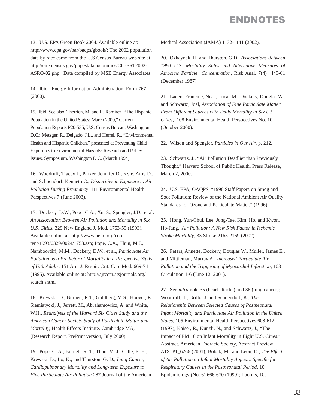### ENDNOTES

13. U.S. EPA Green Book 2004. Available online at: http://www.epa.gov/oar/oaqps/gbook/; The 2002 population data by race came from the U.S Census Bureau web site at http://eire.census.gov/popest/data/counties/CO-EST2002- ASRO-02.php. Data compiled by MSB Energy Associates.

14. Ibid. Energy Information Administration, Form 767 (2000).

15. Ibid. See also, Therrien, M. and R. Ramirez, "The Hispanic Population in the United States: March 2000," Current Population Reports P20-535, U.S. Census Bureau, Washington, D.C.; Metzger, R., Delgado, J.L., and Herrel, R., "Environmental Health and Hispanic Children," presented at Preventing Child Exposures to Environmental Hazards: Research and Policy Issues. Symposium. Washington D.C. (March 1994).

16. Woodruff, Tracey J., Parker, Jennifer D., Kyle, Amy D., and Schoendorf, Kenneth C., *Disparities in Exposure to Air Pollution During Pregnancy*. 111 Environmental Health Perspectives 7 (June 2003).

17. Dockery, D.W., Pope, C.A., Xu, S., Spengler, J.D., et al. *An Association Between Air Pollution and Mortality in Six U.S. Cities*, 329 New England J. Med. 1753-59 (1993). Available online at http://www.nejm.org/content/1993/0329/0024/1753.asp; Pope, C.A., Thun, M.J., Namboordiri, M.M., Dockery, D.W., et al., *Particulate Air Pollution as a Predictor of Mortality in a Prospective Study of U.S. Adults*. 151 Am. J. Respir. Crit. Care Med. 669-74 (1995). Available online at: http://ajrccm.atsjournals.org/ search.shtml

18. Krewski, D., Burnett, R.T., Goldberg, M.S., Hoover, K., Siemiatycki, J., Jerrett, M., Abrahamowicz, A. and White, W.H., *Reanalysis of the Harvard Six Cities Study and the American Cancer Society Study of Particulate Matter and Mortality,* Health Effects Institute, Cambridge MA, (Research Report, PrePrint version, July 2000).

19. Pope, C. A., Burnett, R. T., Thun, M. J., Calle, E. E., Krewski, D., Ito, K., and Thurston, G. D., *Lung Cancer, Cardiopulmonary Mortality and Long-term Exposure to Fine Particulate Air Pollution* 287 Journal of the American Medical Association (JAMA) 1132-1141 (2002).

20. Ozkaynak, H, and Thurston, G.D., *Associations Between 1980 U.S. Mortality Rates and Alternative Measures of Airborne Particle Concentration*, Risk Anal. 7(4) 449-61 (December 1987).

21. Laden, Francine, Neas, Lucas M., Dockery, Douglas W., and Schwartz, Joel, *Association of Fine Particulate Matter From Different Sources with Daily Mortality in Six U.S. Cities*, 108 Environmental Health Perspectives No. 10 (October 2000).

22. Wilson and Spengler, *Particles in Our Air*, p. 212.

23. Schwartz, J., "Air Pollution Deadlier than Previously Thought," Harvard School of Public Health, Press Release, March 2, 2000.

24. U.S. EPA, OAQPS, "1996 Staff Papers on Smog and Soot Pollution: Review of the National Ambient Air Quality Standards for Ozone and Particulate Matter." (1996).

25. Hong, Yun-Chul, Lee, Jong-Tae, Kim, Ho, and Kwon, Ho-Jang, *Air Pollution: A New Risk Factor in Ischemic Stroke Mortality*, 33 Stroke 2165-2169 (2002).

26. Peters, Annette, Dockery, Douglas W., Muller, James E., and Mittleman, Murray A., *Increased Particulate Air Pollution and the Triggering of Myocardial Infarction*, 103 Circulation 1-6 (June 12, 2001).

27. See *infra* note 35 (heart attacks) and 36 (lung cancer); Woodruff, T., Grillo, J. and Schoendorf, K., *The Relationship Between Selected Causes of Postneonatal Infant Mortality and Particulate Air Pollution in the United States*, 105 Environmental Health Perspectives 608-612 (1997); Kaiser, R., Kunzli, N., and Schwartz, J., "The Impact of PM 10 on Infant Mortality in Eight U.S. Cities." Abstract. American Thoracic Society, Abstract Preview: ATS1P1\_6266 (2001); Bobak, M., and Leon, D., *The Effect of Air Pollution on Infant Mortality Appears Specific for Respiratory Causes in the Postneonatal Period*, 10 Epidemiology (No. 6) 666-670 (1999); Loomis, D.,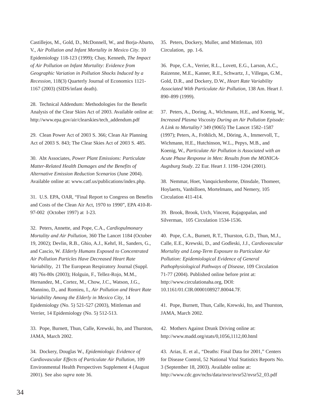Castillejos, M., Gold, D., McDonnell, W., and Borja-Aburto, V., *Air Pollution and Infant Mortality in Mexico City*. 10 Epidemiology 118-123 (1999); Chay, Kenneth, *The Impact of Air Pollution on Infant Mortality: Evidence from Geographic Variation in Pollution Shocks Induced by a Recession*, 118(3) Quarterly Journal of Economics 1121- 1167 (2003) (SIDS/infant death).

28. Technical Addendum: Methodologies for the Benefit Analysis of the Clear Skies Act of 2003. Available online at: http://www.epa.gov/air/clearskies/tech\_addendum.pdf

29. Clean Power Act of 2003 S. 366; Clean Air Planning Act of 2003 S. 843; The Clear Skies Act of 2003 S. 485.

30. Abt Associates, *Power Plant Emissions: Particulate Matter-Related Health Damages and the Benefits of Alternative Emission Reduction Scenarios* (June 2004). Available online at: www.catf.us/publications/index.php.

31. U.S. EPA, OAR, "Final Report to Congress on Benefits and Costs of the Clean Air Act, 1970 to 1990", EPA 410-R-97-002 (October 1997) at I-23.

32. Peters, Annette, and Pope, C.A., *Cardiopulmonary Mortality and Air Pollution*, 360 The Lancet 1184 (October 19, 2002); Devlin, R.B., Ghio, A.J., Kehrl, H., Sanders, G., and Cascio, W. *Elderly Humans Exposed to Concentrated Air Pollution Particles Have Decreased Heart Rate Variability*, 21 The European Respiratory Journal (Suppl. 40) 76s-80s (2003); Holguin, F., Tellez-Rojo, M.M., Hernandez, M., Cortez, M., Chow, J.C., Watson, J.G., Mannino, D., and Romieu, I., *Air Pollution and Heart Rate Variability Among the Elderly in Mexico City*, 14 Epidemiology (No. 5) 521-527 (2003), Mittleman and Verrier, 14 Epidemiology (No. 5) 512-513.

33. Pope, Burnett, Thun, Calle, Krewski, Ito, and Thurston, JAMA, March 2002.

34. Dockery, Douglas W., *Epidemiologic Evidence of Cardiovascular Effects of Particulate Air Pollution*, 109 Environmental Health Perspectives Supplement 4 (August 2001). See also *supra* note 36.

35. Peters, Dockery, Muller, amd Mittleman, 103 Circulation, pp. 1-6.

36. Pope, C.A., Verrier, R.L., Lovett, E.G., Larson, A.C., Raizenne, M.E., Kanner, R.E., Schwartz, J., Villegas, G.M., Gold, D.R., and Dockery, D.W., *Heart Rate Variability Associated With Particulate Air Pollution*, 138 Am. Heart J. 890–899 (1999).

37. Peters, A., Doring, A., Wichmann, H.E., and Koenig, W., *Increased Plasma Viscosity During an Air Pollution Episode: A Link to Mortality?* 349 (9065) The Lancet 1582–1587 (1997); Peters, A., Fröhlich, M., Döring, A., Immervoll, T., Wichmann, H.E., Hutchinson, W.L., Pepys, M.B., and Koenig, W., *Particulate Air Pollution is Associated with an Acute Phase Response in Men: Results from the MONICA-Augsburg Study*. 22 Eur. Heart J. 1198–1204 (2001).

38. Nemmar, Hoet, Vanquickenborne, Dinsdale, Thomeer, Hoylaerts, Vanbilloen, Mortelmans, and Nemery, 105 Circulation 411-414.

39. Brook, Brook, Urch, Vincent, Rajagopalan, and Silverman, 105 Circulation 1534-1536.

40. Pope, C.A., Burnett, R.T., Thurston, G.D., Thun, M.J., Calle, E.E., Krewski, D., and Godleski, J.J., *Cardiovascular Mortality and Long-Term Exposure to Particulate Air Pollution: Epidemiological Evidence of General Pathophysiological Pathways of Disease*, 109 Circulation 71-77 (2004). Published online before print at: http://www.circulationaha.org, DOI: 10.1161/01.CIR.0000108927.80044.7F.

41. Pope, Burnett, Thun, Calle, Krewski, Ito, and Thurston, JAMA, March 2002.

42. Mothers Against Drunk Driving online at: http://www.madd.org/stats/0,1056,1112,00.html

43. Arias, E. et al., "Deaths: Final Data for 2001," Centers for Disease Control, 52 National Vital Statistics Reports No. 3 (September 18, 2003). Available online at: http://www.cdc.gov/nchs/data/nvsr/nvsr52/nvsr52\_03.pdf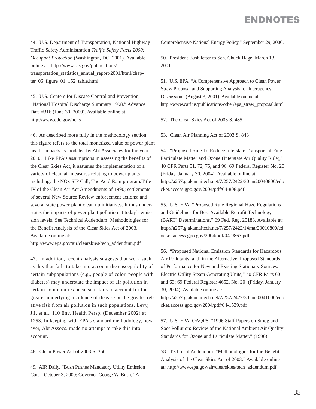### ENDNOTES

44. U.S. Department of Transportation, National Highway Traffic Safety Administration *Traffic Safety Facts 2000: Occupant Protection* (Washington, DC, 2001). Available online at: http://www.bts.gov/publications/ transportation\_statistics\_annual\_report/2001/html/chapter\_06\_figure\_01\_152\_table.html.

45. U.S. Centers for Disease Control and Prevention, "National Hospital Discharge Summary 1998," Advance Data #316 (June 30, 2000). Available online at http://www.cdc.gov/nchs

46. As described more fully in the methodology section, this figure refers to the total monetized value of power plant health impacts as modeled by Abt Associates for the year 2010. Like EPA's assumptions in assessing the benefits of the Clear Skies Act, it assumes the implementation of a variety of clean air measures relating to power plants including: the NOx SIP Call; The Acid Rain program/Title IV of the Clean Air Act Amendments of 1990; settlements of several New Source Review enforcement actions; and several state power plant clean up initiatives. It thus understates the impacts of power plant pollution at today's emission levels. See Technical Addendum: Methodologies for the Benefit Analysis of the Clear Skies Act of 2003. Available online at:

http://www.epa.gov/air/clearskies/tech\_addendum.pdf

47. In addition, recent analysis suggests that work such as this that fails to take into account the susceptibility of certain subpopulations (e.g., people of color, people with diabetes) may understate the impact of air pollution in certain communities because it fails to account for the greater underlying incidence of disease or the greater relative risk from air pollution in such populations. Levy, J.I. et al., 110 Env. Health Persp. (December 2002) at 1253. In keeping with EPA's standard methodology, however, Abt Assocs. made no attempt to take this into account.

48. Clean Power Act of 2003 S. 366

49. AIR Daily, "Bush Pushes Mandatory Utility Emission Cuts," October 3, 2000; Governor George W. Bush, "A

Comprehensive National Energy Policy," September 29, 2000.

50. President Bush letter to Sen. Chuck Hagel March 13, 2001.

51. U.S. EPA, "A Comprehensive Approach to Clean Power: Straw Proposal and Supporting Analysis for Interagency Discussion" (August 3, 2001). Available online at: http://www.catf.us/publications/other/epa\_straw\_proposal.html

52. The Clear Skies Act of 2003 S. 485.

53. Clean Air Planning Act of 2003 S. 843

54. "Proposed Rule To Reduce Interstate Transport of Fine Particulate Matter and Ozone (Interstate Air Quality Rule)," 40 CFR Parts 51, 72, 75, and 96, 69 Federal Register No. 20 (Friday, January 30, 2004). Available online at: http://a257.g.akamaitech.net/7/257/2422/30jan20040800/edo cket.access.gpo.gov/2004/pdf/04-808.pdf

55. U.S. EPA, "Proposed Rule Regional Haze Regulations and Guidelines for Best Available Retrofit Technology (BART) Determinations," 69 Fed. Reg. 25183. Available at: http://a257.g.akamaitech.net/7/257/2422/14mar20010800/ed ocket.access.gpo.gov/2004/pdf/04-9863.pdf

56. "Proposed National Emission Standards for Hazardous Air Pollutants; and, in the Alternative, Proposed Standards of Performance for New and Existing Stationary Sources: Electric Utility Steam Generating Units," 40 CFR Parts 60 and 63; 69 Federal Register 4652, No. 20 (Friday, January 30, 2004). Available online at:

http://a257.g.akamaitech.net/7/257/2422/30jan20041000/edo cket.access.gpo.gov/2004/pdf/04-1539.pdf

57. U.S. EPA, OAQPS, "1996 Staff Papers on Smog and Soot Pollution: Review of the National Ambient Air Quality Standards for Ozone and Particulate Matter." (1996).

58. Technical Addendum: "Methodologies for the Benefit Analysis of the Clear Skies Act of 2003." Available online at: http://www.epa.gov/air/clearskies/tech\_addendum.pdf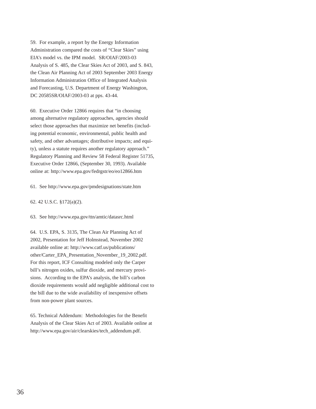59. For example, a report by the Energy Information Administration compared the costs of "Clear Skies" using EIA's model vs. the IPM model. SR/OIAF/2003-03 Analysis of S. 485, the Clear Skies Act of 2003, and S. 843, the Clean Air Planning Act of 2003 September 2003 Energy Information Administration Office of Integrated Analysis and Forecasting, U.S. Department of Energy Washington, DC 20585SR/OIAF/2003-03 at pps. 43-44.

60. Executive Order 12866 requires that "in choosing among alternative regulatory approaches, agencies should select those approaches that maximize net benefits (including potential economic, environmental, public health and safety, and other advantages; distributive impacts; and equity), unless a statute requires another regulatory approach." Regulatory Planning and Review 58 Federal Register 51735, Executive Order 12866, (September 30, 1993). Available online at: http://www.epa.gov/fedrgstr/eo/eo12866.htm

61. See http://www.epa.gov/pmdesignations/state.htm

#### 62. 42 U.S.C. §172(a)(2).

63. See http://www.epa.gov/ttn/amtic/datasrc.html

64. U.S. EPA, S. 3135, The Clean Air Planning Act of 2002, Presentation for Jeff Holmstead, November 2002 available online at: http://www.catf.us/publications/ other/Carter\_EPA\_Presentation\_November\_19\_2002.pdf. For this report, ICF Consulting modeled only the Carper bill's nitrogen oxides, sulfur dioxide, and mercury provisions. According to the EPA's analysis, the bill's carbon dioxide requirements would add negligible additional cost to the bill due to the wide availability of inexpensive offsets from non-power plant sources.

65. Technical Addendum: Methodologies for the Benefit Analysis of the Clear Skies Act of 2003. Available online at http://www.epa.gov/air/clearskies/tech\_addendum.pdf.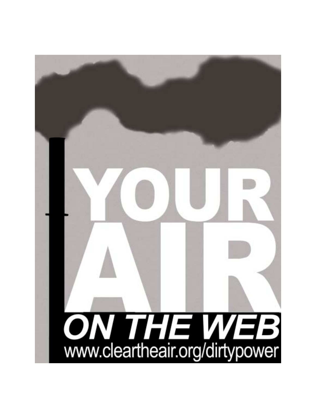![](_page_38_Picture_0.jpeg)